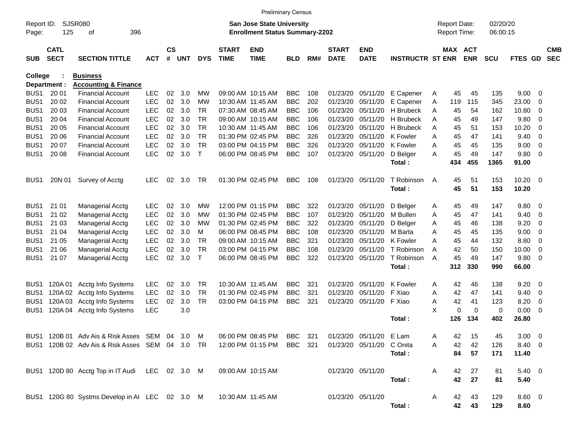|                     |                            |                                                 |            |                    |     |              |                             | <b>Preliminary Census</b>                                                 |            |     |                             |                           |                         |                                     |                       |                      |                |                |                          |
|---------------------|----------------------------|-------------------------------------------------|------------|--------------------|-----|--------------|-----------------------------|---------------------------------------------------------------------------|------------|-----|-----------------------------|---------------------------|-------------------------|-------------------------------------|-----------------------|----------------------|----------------|----------------|--------------------------|
| Report ID:<br>Page: | 125                        | <b>SJSR080</b><br>396<br>οf                     |            |                    |     |              |                             | <b>San Jose State University</b><br><b>Enrollment Status Summary-2202</b> |            |     |                             |                           |                         | <b>Report Date:</b><br>Report Time: |                       | 02/20/20<br>06:00:15 |                |                |                          |
| <b>SUB</b>          | <b>CATL</b><br><b>SECT</b> | <b>SECTION TITTLE</b>                           | АСТ        | $\mathsf{cs}$<br># | UNT | <b>DYS</b>   | <b>START</b><br><b>TIME</b> | <b>END</b><br><b>TIME</b>                                                 | <b>BLD</b> | RM# | <b>START</b><br><b>DATE</b> | <b>END</b><br><b>DATE</b> | <b>INSTRUCTR ST ENR</b> |                                     | MAX ACT<br><b>ENR</b> | <b>SCU</b>           | FTES GD        |                | <b>CMB</b><br><b>SEC</b> |
| <b>College</b>      |                            | <b>Business</b>                                 |            |                    |     |              |                             |                                                                           |            |     |                             |                           |                         |                                     |                       |                      |                |                |                          |
|                     | Department :               | <b>Accounting &amp; Finance</b>                 |            |                    |     |              |                             |                                                                           |            |     |                             |                           |                         |                                     |                       |                      |                |                |                          |
| BUS <sub>1</sub>    | 20 01                      | Financial Account                               | <b>LEC</b> | 02                 | 3.0 | МW           |                             | 09:00 AM 10:15 AM                                                         | <b>BBC</b> | 108 | 01/23/20                    | 05/11/20                  | E Capener               | 45<br>A                             | 45                    | 135                  | 9.00           | 0              |                          |
| BUS <sub>1</sub>    | 20 02                      | <b>Financial Account</b>                        | <b>LEC</b> | 02                 | 3.0 | МW           |                             | 10:30 AM 11:45 AM                                                         | <b>BBC</b> | 202 | 01/23/20                    | 05/11/20                  | E Capener               | 119<br>Α                            | 115                   | 345                  | 23.00          | 0              |                          |
| BUS <sub>1</sub>    | 20 03                      | <b>Financial Account</b>                        | <b>LEC</b> | 02                 | 3.0 | TR           |                             | 07:30 AM 08:45 AM                                                         | <b>BBC</b> | 106 | 01/23/20                    | 05/11/20                  | H Brubeck               | 45<br>Α                             | 54                    | 162                  | 10.80          | 0              |                          |
| BUS <sub>1</sub>    | 20 04                      | <b>Financial Account</b>                        | <b>LEC</b> | 02                 | 3.0 | TR           |                             | 09:00 AM 10:15 AM                                                         | <b>BBC</b> | 106 | 01/23/20                    | 05/11/20                  | H Brubeck               | 45<br>A                             | 49                    | 147                  | 9.80           | 0              |                          |
| BUS <sub>1</sub>    | 20 05                      | <b>Financial Account</b>                        | <b>LEC</b> | 02                 | 3.0 | TR           |                             | 10:30 AM 11:45 AM                                                         | <b>BBC</b> | 106 | 01/23/20                    | 05/11/20                  | H Brubeck               | A<br>45                             | 51                    | 153                  | 10.20          | 0              |                          |
| BUS <sub>1</sub>    | 20 06                      | <b>Financial Account</b>                        | <b>LEC</b> | 02                 | 3.0 | TR           |                             | 01:30 PM 02:45 PM                                                         | <b>BBC</b> | 326 | 01/23/20                    | 05/11/20                  | <b>K</b> Fowler         | 45<br>A                             | 47                    | 141                  | 9.40           | 0              |                          |
| BUS <sub>1</sub>    | 20 07                      | <b>Financial Account</b>                        | <b>LEC</b> | 02                 | 3.0 | TR           |                             | 03:00 PM 04:15 PM                                                         | <b>BBC</b> | 326 | 01/23/20                    | 05/11/20                  | K Fowler                | 45<br>A                             | 45                    | 135                  | 9.00           | 0              |                          |
| BUS <sub>1</sub>    | 20 08                      | <b>Financial Account</b>                        | <b>LEC</b> | 02                 | 3.0 | $\mathsf{T}$ |                             | 06:00 PM 08:45 PM                                                         | <b>BBC</b> | 107 | 01/23/20                    | 05/11/20                  | D Belger<br>Total:      | 45<br>A<br>434                      | 49<br>455             | 147<br>1365          | 9.80<br>91.00  | 0              |                          |
| BUS <sub>1</sub>    | 20N 01                     | Survey of Acctg                                 | <b>LEC</b> | 02                 | 3.0 | TR           |                             | 01:30 PM 02:45 PM                                                         | <b>BBC</b> | 108 | 01/23/20                    | 05/11/20                  | T Robinson<br>Total:    | 45<br>A<br>45                       | 51<br>51              | 153<br>153           | 10.20<br>10.20 | $\overline{0}$ |                          |
| BUS <sub>1</sub>    | 21 01                      |                                                 | <b>LEC</b> | 02                 | 3.0 | МW           |                             | 12:00 PM 01:15 PM                                                         | <b>BBC</b> | 322 | 01/23/20                    | 05/11/20                  | D Belger                |                                     | 49                    | 147                  | 9.80           | 0              |                          |
| BUS <sub>1</sub>    | 21 02                      | <b>Managerial Acctg</b>                         | <b>LEC</b> | 02                 | 3.0 | МW           |                             | 01:30 PM 02:45 PM                                                         | <b>BBC</b> | 107 | 01/23/20                    | 05/11/20                  | M Bullen                | 45<br>A<br>45                       | 47                    | 141                  | 9.40           |                |                          |
| BUS <sub>1</sub>    | 21 03                      | Managerial Acctg                                | <b>LEC</b> | 02                 | 3.0 | МW           |                             | 01:30 PM 02:45 PM                                                         | <b>BBC</b> | 322 | 01/23/20                    | 05/11/20                  | D Belger                | Α<br>45                             | 46                    | 138                  | 9.20           | 0<br>0         |                          |
| BUS <sub>1</sub>    | 21 04                      | Managerial Acctg<br><b>Managerial Acctg</b>     | <b>LEC</b> | 02                 | 3.0 | М            |                             | 06:00 PM 08:45 PM                                                         | <b>BBC</b> | 108 | 01/23/20                    | 05/11/20                  | M Barta                 | Α<br>45<br>A                        | 45                    | 135                  | 9.00           | 0              |                          |
| BUS <sub>1</sub>    | 21 05                      | <b>Managerial Acctg</b>                         | <b>LEC</b> | 02                 | 3.0 | TR           |                             | 09:00 AM 10:15 AM                                                         | <b>BBC</b> | 321 | 01/23/20                    | 05/11/20                  | K Fowler                | 45<br>A                             | 44                    | 132                  | 8.80           | 0              |                          |
| BUS <sub>1</sub>    | 21 06                      | <b>Managerial Acctg</b>                         | <b>LEC</b> | 02                 | 3.0 | TR           |                             | 03:00 PM 04:15 PM                                                         | <b>BBC</b> | 108 | 01/23/20                    | 05/11/20                  | T Robinson              | 42<br>A                             | 50                    | 150                  | 10.00          | 0              |                          |
| BUS1                | 21 07                      | <b>Managerial Acctg</b>                         | <b>LEC</b> | 02                 | 3.0 | Т            |                             | 06:00 PM 08:45 PM                                                         | <b>BBC</b> | 322 | 01/23/20                    | 05/11/20                  | T Robinson              | 45<br>A                             | 49                    | 147                  | 9.80           | 0              |                          |
|                     |                            |                                                 |            |                    |     |              |                             |                                                                           |            |     |                             |                           | Total:                  | 312                                 | 330                   | 990                  | 66.00          |                |                          |
| BUS <sub>1</sub>    | 120A 01                    | Acctg Info Systems                              | <b>LEC</b> | 02                 | 3.0 | TR           |                             | 10:30 AM 11:45 AM                                                         | <b>BBC</b> | 321 | 01/23/20                    | 05/11/20                  | K Fowler                | 42<br>Α                             | 46                    | 138                  | 9.20           | 0              |                          |
| BUS <sub>1</sub>    | 120A 02                    | Acctg Info Systems                              | <b>LEC</b> | 02                 | 3.0 | TR           |                             | 01:30 PM 02:45 PM                                                         | <b>BBC</b> | 321 | 01/23/20                    | 05/11/20                  | F Xiao                  | Α<br>42                             | 47                    | 141                  | 9.40           | 0              |                          |
| BUS1                | 120A 03                    | Acctg Info Systems                              | <b>LEC</b> | 02                 | 3.0 | <b>TR</b>    |                             | 03:00 PM 04:15 PM                                                         | <b>BBC</b> | 321 | 01/23/20                    | 05/11/20                  | F Xiao                  | 42<br>Α                             | 41                    | 123                  | 8.20           | 0              |                          |
| BUS1                | 120A 04                    | Acctg Info Systems                              | <b>LEC</b> |                    | 3.0 |              |                             |                                                                           |            |     |                             |                           |                         | X                                   | 0<br>0                | 0                    | 0.00           | 0              |                          |
|                     |                            |                                                 |            |                    |     |              |                             |                                                                           |            |     |                             |                           | Total:                  | 126                                 | 134                   | 402                  | 26.80          |                |                          |
|                     |                            | BUS1 120B 01 Adv Ais & Risk Asses SEM 04 3.0 M  |            |                    |     |              |                             | 06:00 PM 08:45 PM BBC 321                                                 |            |     |                             | 01/23/20 05/11/20 E Lam   |                         | 42<br>A                             | - 15                  | 45                   | $3.00 \ 0$     |                |                          |
|                     |                            | BUS1 120B 02 Adv Ais & Risk Asses SEM 04 3.0 TR |            |                    |     |              |                             | 12:00 PM 01:15 PM                                                         | BBC 321    |     |                             | 01/23/20 05/11/20 C Onita |                         | 42<br>A                             | 42                    | 126                  | 8.40 0         |                |                          |
|                     |                            |                                                 |            |                    |     |              |                             |                                                                           |            |     |                             |                           | Total:                  | 84                                  | 57                    | 171                  | 11.40          |                |                          |
|                     |                            | BUS1 120D 80 Acctg Top in IT Audi LEC 02 3.0 M  |            |                    |     |              |                             | 09:00 AM 10:15 AM                                                         |            |     |                             | 01/23/20 05/11/20         |                         | 42<br>A                             | 27                    | 81                   | $5.40\ 0$      |                |                          |
|                     |                            |                                                 |            |                    |     |              |                             |                                                                           |            |     |                             |                           | Total:                  | 42                                  | 27                    | 81                   | 5.40           |                |                          |
|                     |                            | BUS1 120G 80 Systms Develop in AI LEC 02 3.0 M  |            |                    |     |              |                             | 10:30 AM 11:45 AM                                                         |            |     |                             | 01/23/20 05/11/20         |                         | 42<br>A                             | 43                    | 129                  | $8.60 \quad 0$ |                |                          |
|                     |                            |                                                 |            |                    |     |              |                             |                                                                           |            |     |                             |                           | Total :                 |                                     | 42 43                 | 129                  | 8.60           |                |                          |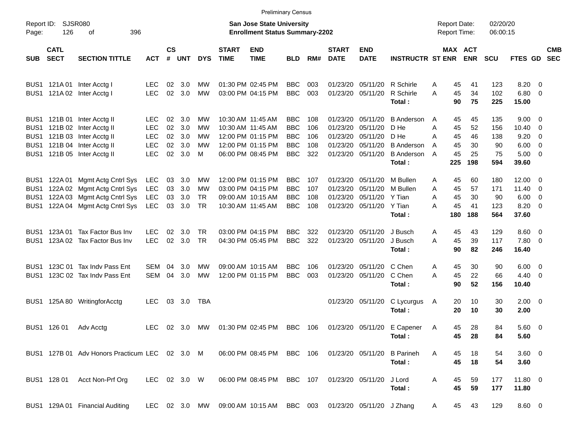|                  |                            |                                                          |                    |                    |                |            |                             |                                                                    | <b>Preliminary Census</b> |            |                             |                               |                             |                                            |                              |                      |                        |                          |                          |
|------------------|----------------------------|----------------------------------------------------------|--------------------|--------------------|----------------|------------|-----------------------------|--------------------------------------------------------------------|---------------------------|------------|-----------------------------|-------------------------------|-----------------------------|--------------------------------------------|------------------------------|----------------------|------------------------|--------------------------|--------------------------|
| Page:            | Report ID: SJSR080<br>126  | 396<br>οf                                                |                    |                    |                |            |                             | San Jose State University<br><b>Enrollment Status Summary-2202</b> |                           |            |                             |                               |                             | <b>Report Date:</b><br><b>Report Time:</b> |                              | 02/20/20<br>06:00:15 |                        |                          |                          |
| SUB              | <b>CATL</b><br><b>SECT</b> | <b>SECTION TITTLE</b>                                    | <b>ACT</b>         | $\mathsf{cs}$<br># | UNT            | <b>DYS</b> | <b>START</b><br><b>TIME</b> | <b>END</b><br><b>TIME</b>                                          | <b>BLD</b>                | RM#        | <b>START</b><br><b>DATE</b> | <b>END</b><br><b>DATE</b>     | <b>INSTRUCTR ST ENR</b>     |                                            | <b>MAX ACT</b><br><b>ENR</b> | <b>SCU</b>           | <b>FTES GD</b>         |                          | <b>CMB</b><br><b>SEC</b> |
|                  |                            | BUS1 121A 01 Inter Acctg I<br>BUS1 121A 02 Inter Acctg I | LEC.<br><b>LEC</b> | 02<br>02           | 3.0<br>3.0     | МW<br>MW   |                             | 01:30 PM 02:45 PM<br>03:00 PM 04:15 PM                             | <b>BBC</b><br><b>BBC</b>  | 003<br>003 | 01/23/20                    | 05/11/20<br>01/23/20 05/11/20 | R Schirle<br>R Schirle      | 45<br>Α<br>45<br>A                         | 41<br>34                     | 123<br>102           | $8.20 \ 0$<br>$6.80$ 0 |                          |                          |
|                  |                            |                                                          |                    |                    |                |            |                             |                                                                    |                           |            |                             |                               | Total:                      | 90                                         | 75                           | 225                  | 15.00                  |                          |                          |
|                  |                            | BUS1 121B 01 Inter Acctg II                              | LEC.               | 02                 | 3.0            | МW         |                             | 10:30 AM 11:45 AM                                                  | <b>BBC</b>                | 108        | 01/23/20                    | 05/11/20                      | <b>B</b> Anderson           | 45<br>A                                    | 45                           | 135                  | $9.00 \t 0$            |                          |                          |
| BUS1             |                            | 121B 02 Inter Acctg II                                   | <b>LEC</b>         | 02                 | 3.0            | МW         |                             | 10:30 AM 11:45 AM                                                  | <b>BBC</b>                | 106        | 01/23/20                    | 05/11/20                      | D He                        | Α<br>45                                    | 52                           | 156                  | 10.40                  | $\overline{\phantom{0}}$ |                          |
| BUS1             |                            | 121B 03 Inter Acctg II                                   | <b>LEC</b>         | 02                 | 3.0            | МW         |                             | 12:00 PM 01:15 PM                                                  | <b>BBC</b>                | 106        | 01/23/20                    | 05/11/20                      | D He                        | А<br>45                                    | 46                           | 138                  | 9.20                   | $\overline{\phantom{0}}$ |                          |
| BUS1             |                            | 121B 04 Inter Acctg II                                   | <b>LEC</b>         | 02                 | 3.0            | МW         |                             | 12:00 PM 01:15 PM                                                  | <b>BBC</b>                | 108        | 01/23/20                    | 05/11/20                      | <b>B</b> Anderson           | 45<br>A                                    | 30                           | 90                   | $6.00 \quad 0$         |                          |                          |
|                  |                            | BUS1 121B 05 Inter Acctg II                              | <b>LEC</b>         | 02                 | 3.0            | м          |                             | 06:00 PM 08:45 PM                                                  | <b>BBC</b>                | 322        |                             | 01/23/20 05/11/20             | <b>B</b> Anderson<br>Total: | 45<br>A<br>225                             | 25<br>198                    | 75<br>594            | $5.00 \t 0$<br>39.60   |                          |                          |
|                  |                            |                                                          |                    |                    |                |            |                             |                                                                    |                           |            |                             |                               |                             |                                            |                              |                      |                        |                          |                          |
| BUS <sub>1</sub> | 122A 01                    | Mgmt Actg Cntrl Sys                                      | LEC                | 03                 | 3.0            | <b>MW</b>  |                             | 12:00 PM 01:15 PM                                                  | <b>BBC</b>                | 107        | 01/23/20                    | 05/11/20                      | M Bullen                    | 45<br>Α                                    | 60                           | 180                  | $12.00 \t 0$           |                          |                          |
| BUS <sub>1</sub> |                            | 122A 02 Mgmt Actg Cntrl Sys                              | LEC                | 03                 | 3.0            | MW         |                             | 03:00 PM 04:15 PM                                                  | <b>BBC</b>                | 107        | 01/23/20                    | 05/11/20                      | M Bullen                    | Α<br>45                                    | 57                           | 171                  | $11.40 \t 0$           |                          |                          |
| BUS1             | 122A 03                    | Mgmt Actg Cntrl Sys                                      | <b>LEC</b>         | 03                 | 3.0            | TR         |                             | 09:00 AM 10:15 AM                                                  | <b>BBC</b>                | 108        |                             | 01/23/20 05/11/20             | Y Tian                      | 45<br>A                                    | 30                           | 90                   | $6.00 \quad 0$         |                          |                          |
| BUS1             |                            | 122A 04 Mgmt Actg Cntrl Sys                              | LEC                | 03                 | 3.0            | TR         |                             | 10:30 AM 11:45 AM                                                  | <b>BBC</b>                | 108        |                             | 01/23/20 05/11/20             | Y Tian                      | 45<br>А                                    | 41                           | 123<br>564           | $8.20 \ 0$             |                          |                          |
|                  |                            |                                                          |                    |                    |                |            |                             |                                                                    |                           |            |                             |                               | Total:                      | 180                                        | 188                          |                      | 37.60                  |                          |                          |
| BUS1             | 123A 01                    | Tax Factor Bus Inv                                       | <b>LEC</b>         | 02                 | 3.0            | TR         |                             | 03:00 PM 04:15 PM                                                  | <b>BBC</b>                | 322        |                             | 01/23/20 05/11/20             | J Busch                     | 45<br>A                                    | 43                           | 129                  | $8.60 \quad 0$         |                          |                          |
| BUS1             |                            | 123A 02 Tax Factor Bus Inv                               | <b>LEC</b>         | 02                 | 3.0            | <b>TR</b>  |                             | 04:30 PM 05:45 PM                                                  | <b>BBC</b>                | 322        |                             | 01/23/20 05/11/20             | J Busch                     | 45<br>А                                    | 39                           | 117                  | 7.80 0                 |                          |                          |
|                  |                            |                                                          |                    |                    |                |            |                             |                                                                    |                           |            |                             |                               | Total:                      | 90                                         | 82                           | 246                  | 16.40                  |                          |                          |
| BUS1             |                            | 123C 01 Tax Indy Pass Ent                                | SEM                | 04                 | 3.0            | MW         |                             | 09:00 AM 10:15 AM                                                  | <b>BBC</b>                | 106        | 01/23/20                    | 05/11/20                      | C Chen                      | 45<br>A                                    | 30                           | 90                   | $6.00 \quad 0$         |                          |                          |
| BUS1             |                            | 123C 02 Tax Indv Pass Ent                                | SEM                | 04                 | 3.0            | MW         |                             | 12:00 PM 01:15 PM                                                  | <b>BBC</b>                | 003        |                             | 01/23/20 05/11/20             | C Chen                      | 45<br>А                                    | 22                           | 66                   | $4.40 \quad 0$         |                          |                          |
|                  |                            |                                                          |                    |                    |                |            |                             |                                                                    |                           |            |                             |                               | Total:                      | 90                                         | 52                           | 156                  | 10.40                  |                          |                          |
| BUS1             |                            | 125A 80 WritingforAcctg                                  | <b>LEC</b>         | 03                 | 3.0            | TBA        |                             |                                                                    |                           |            |                             | 01/23/20 05/11/20             | C Lycurgus                  | 20<br>A                                    | 10                           | 30                   | $2.00 \t 0$            |                          |                          |
|                  |                            |                                                          |                    |                    |                |            |                             |                                                                    |                           |            |                             |                               | Total:                      | 20                                         | 10                           | 30                   | 2.00                   |                          |                          |
|                  | BUS1 126 01                | Adv Acctg                                                | <b>LEC</b>         |                    | $02 \quad 3.0$ | MW.        |                             | 01:30 PM 02:45 PM                                                  | BBC                       | 106        |                             | 01/23/20 05/11/20             | E Capener                   | 45<br>A                                    | 28                           | 84                   | $5.60$ 0               |                          |                          |
|                  |                            |                                                          |                    |                    |                |            |                             |                                                                    |                           |            |                             |                               | Total:                      | 45                                         | 28                           | 84                   | 5.60                   |                          |                          |
|                  |                            | BUS1 127B 01 Adv Honors Practicum LEC 02 3.0 M           |                    |                    |                |            |                             | 06:00 PM 08:45 PM BBC 106                                          |                           |            |                             | 01/23/20 05/11/20             | <b>B</b> Parineh            | Α<br>45                                    | 18                           | 54                   | 3.60 0                 |                          |                          |
|                  |                            |                                                          |                    |                    |                |            |                             |                                                                    |                           |            |                             |                               | Total:                      | 45                                         | 18                           | 54                   | 3.60                   |                          |                          |
|                  |                            | BUS1 128 01 Acct Non-Prf Org                             | LEC 02 3.0 W       |                    |                |            |                             | 06:00 PM 08:45 PM                                                  | BBC 107                   |            |                             | 01/23/20 05/11/20             | J Lord                      | 45<br>A                                    | 59                           | 177                  | 11.80 0                |                          |                          |
|                  |                            |                                                          |                    |                    |                |            |                             |                                                                    |                           |            |                             |                               | Total:                      | 45                                         | 59                           | 177                  | 11.80                  |                          |                          |
|                  |                            | BUS1 129A 01 Financial Auditing                          | LEC 02 3.0 MW      |                    |                |            |                             | 09:00 AM 10:15 AM BBC 003                                          |                           |            |                             | 01/23/20 05/11/20 J Zhang     |                             | 45<br>A                                    | 43                           | 129                  | 8.60 0                 |                          |                          |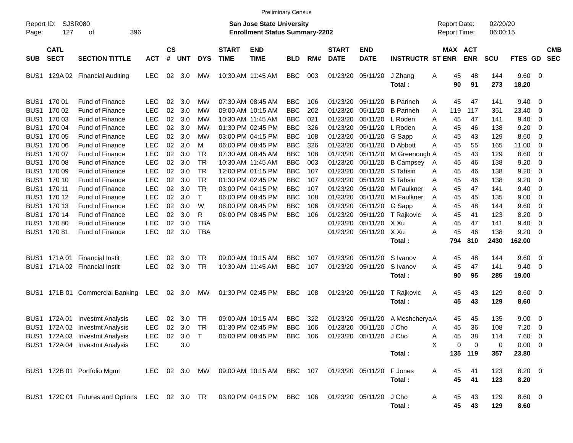|                     |                            |                                                                                            |            |                    |          |               |                             |                                                                    | <b>Preliminary Census</b> |     |                             |                           |                         |   |          |                                     |                      |               |                          |                          |
|---------------------|----------------------------|--------------------------------------------------------------------------------------------|------------|--------------------|----------|---------------|-----------------------------|--------------------------------------------------------------------|---------------------------|-----|-----------------------------|---------------------------|-------------------------|---|----------|-------------------------------------|----------------------|---------------|--------------------------|--------------------------|
| Report ID:<br>Page: | SJSR080<br>127             | 396<br>οf                                                                                  |            |                    |          |               |                             | San Jose State University<br><b>Enrollment Status Summary-2202</b> |                           |     |                             |                           |                         |   |          | <b>Report Date:</b><br>Report Time: | 02/20/20<br>06:00:15 |               |                          |                          |
| <b>SUB</b>          | <b>CATL</b><br><b>SECT</b> | <b>SECTION TITTLE</b>                                                                      | <b>ACT</b> | $\mathsf{cs}$<br># | UNT      | <b>DYS</b>    | <b>START</b><br><b>TIME</b> | <b>END</b><br><b>TIME</b>                                          | <b>BLD</b>                | RM# | <b>START</b><br><b>DATE</b> | <b>END</b><br><b>DATE</b> | <b>INSTRUCTR ST ENR</b> |   |          | MAX ACT<br><b>ENR</b>               | <b>SCU</b>           | FTES GD       |                          | <b>CMB</b><br><b>SEC</b> |
| BUS1                |                            | 129A 02 Financial Auditing                                                                 | LEC        | 02                 | 3.0      | <b>MW</b>     | 10:30 AM 11:45 AM           |                                                                    | <b>BBC</b>                | 003 |                             | 01/23/20 05/11/20         | J Zhang<br>Total:       | Α | 45<br>90 | 48<br>91                            | 144<br>273           | 9.60<br>18.20 | $\overline{\phantom{0}}$ |                          |
|                     | BUS1 170 01                | <b>Fund of Finance</b>                                                                     | <b>LEC</b> | 02                 | 3.0      | МW            |                             | 07:30 AM 08:45 AM                                                  | <b>BBC</b>                | 106 | 01/23/20                    | 05/11/20                  | <b>B</b> Parineh        | A | 45       | 47                                  | 141                  | 9.40          | 0                        |                          |
| BUS1                | 170 02                     | <b>Fund of Finance</b>                                                                     | <b>LEC</b> | 02                 | 3.0      | МW            |                             | 09:00 AM 10:15 AM                                                  | <b>BBC</b>                | 202 | 01/23/20                    | 05/11/20                  | <b>B</b> Parineh        | A | 119      | 117                                 | 351                  | 23.40         | 0                        |                          |
| BUS1                | 170 03                     | Fund of Finance                                                                            | <b>LEC</b> | 02                 | 3.0      | МW            | 10:30 AM 11:45 AM           |                                                                    | <b>BBC</b>                | 021 | 01/23/20                    | 05/11/20                  | L Roden                 | Α | 45       | 47                                  | 141                  | 9.40          | 0                        |                          |
| BUS1                | 170 04                     | Fund of Finance                                                                            | <b>LEC</b> | 02                 | 3.0      | МW            |                             | 01:30 PM 02:45 PM                                                  | <b>BBC</b>                | 326 | 01/23/20                    | 05/11/20                  | L Roden                 | Α | 45       | 46                                  | 138                  | 9.20          | 0                        |                          |
| BUS1                | 170 05                     | Fund of Finance                                                                            | <b>LEC</b> | 02                 | 3.0      | МW            |                             | 03:00 PM 04:15 PM                                                  | <b>BBC</b>                | 108 | 01/23/20                    | 05/11/20                  | G Sapp                  | Α | 45       | 43                                  | 129                  | 8.60          | 0                        |                          |
| BUS1                | 170 06                     | Fund of Finance                                                                            | <b>LEC</b> | 02                 | 3.0      | М             |                             | 06:00 PM 08:45 PM                                                  | <b>BBC</b>                | 326 | 01/23/20                    | 05/11/20                  | D Abbott                | Α | 45       | 55                                  | 165                  | 11.00         | 0                        |                          |
| BUS1                | 170 07                     | Fund of Finance                                                                            | <b>LEC</b> | 02                 | 3.0      | <b>TR</b>     |                             | 07:30 AM 08:45 AM                                                  | <b>BBC</b>                | 108 | 01/23/20                    | 05/11/20                  | M Greenough A           |   | 45       | 43                                  | 129                  | 8.60          | 0                        |                          |
| BUS1                | 170 08                     | Fund of Finance                                                                            | <b>LEC</b> | 02                 | 3.0      | <b>TR</b>     | 10:30 AM 11:45 AM           |                                                                    | <b>BBC</b>                | 003 | 01/23/20                    | 05/11/20                  | <b>B</b> Campsey        | A | 45       | 46                                  | 138                  | 9.20          | 0                        |                          |
|                     | BUS1 170 09                | Fund of Finance                                                                            | <b>LEC</b> | 02                 | 3.0      | <b>TR</b>     |                             | 12:00 PM 01:15 PM                                                  | <b>BBC</b>                | 107 | 01/23/20                    | 05/11/20                  | S Tahsin                | Α | 45       | 46                                  | 138                  | 9.20          | 0                        |                          |
|                     | BUS1 170 10                | Fund of Finance                                                                            | <b>LEC</b> | 02                 | 3.0      | <b>TR</b>     |                             | 01:30 PM 02:45 PM                                                  | <b>BBC</b>                | 107 | 01/23/20                    | 05/11/20                  | S Tahsin                | Α | 45       | 46                                  | 138                  | 9.20          | 0                        |                          |
|                     | BUS1 170 11                | Fund of Finance                                                                            | <b>LEC</b> | 02                 | 3.0      | <b>TR</b>     |                             | 03:00 PM 04:15 PM                                                  | <b>BBC</b>                | 107 | 01/23/20                    | 05/11/20                  | M Faulkner              | Α | 45       | 47                                  | 141                  | 9.40          | 0                        |                          |
|                     | BUS1 170 12                | Fund of Finance                                                                            | <b>LEC</b> | 02                 | 3.0      | $\mathsf{T}$  |                             | 06:00 PM 08:45 PM                                                  | <b>BBC</b>                | 108 | 01/23/20                    | 05/11/20                  | M Faulkner              | A | 45       | 45                                  | 135                  | 9.00          | 0                        |                          |
|                     | BUS1 170 13                | Fund of Finance                                                                            | <b>LEC</b> | 02                 | 3.0      | W             |                             | 06:00 PM 08:45 PM                                                  | <b>BBC</b>                | 106 | 01/23/20                    | 05/11/20                  | G Sapp                  | Α | 45       | 48                                  | 144                  | 9.60          | 0                        |                          |
|                     | BUS1 170 14                | Fund of Finance                                                                            | <b>LEC</b> | 02                 | 3.0      | R             |                             | 06:00 PM 08:45 PM                                                  | <b>BBC</b>                | 106 | 01/23/20                    | 05/11/20                  | T Rajkovic              | Α | 45       | 41                                  | 123                  | 8.20          | 0                        |                          |
|                     | BUS1 17080                 | <b>Fund of Finance</b>                                                                     | <b>LEC</b> | 02                 | 3.0      | <b>TBA</b>    |                             |                                                                    |                           |     | 01/23/20                    | 05/11/20 X Xu             |                         | Α | 45       | 47                                  | 141                  | 9.40          | 0                        |                          |
|                     | BUS1 17081                 | <b>Fund of Finance</b>                                                                     | <b>LEC</b> | 02                 | 3.0      | <b>TBA</b>    |                             |                                                                    |                           |     |                             | 01/23/20 05/11/20         | X Xu                    | Α | 45       | 46                                  | 138                  | 9.20          | 0                        |                          |
|                     |                            |                                                                                            |            |                    |          |               |                             |                                                                    |                           |     |                             |                           | Total:                  |   | 794      | 810                                 | 2430                 | 162.00        |                          |                          |
|                     | BUS1 171A01                | <b>Financial Instit</b>                                                                    | <b>LEC</b> | 02                 | 3.0      | TR            |                             | 09:00 AM 10:15 AM                                                  | <b>BBC</b>                | 107 | 01/23/20                    | 05/11/20                  | S Ivanov                | Α | 45       | 48                                  | 144                  | 9.60          | 0                        |                          |
| BUS1                |                            | 171A 02 Financial Instit                                                                   | <b>LEC</b> | 02                 | 3.0      | <b>TR</b>     | 10:30 AM 11:45 AM           |                                                                    | <b>BBC</b>                | 107 |                             | 01/23/20 05/11/20         | S Ivanov                | Α | 45       | 47                                  | 141                  | 9.40          | 0                        |                          |
|                     |                            |                                                                                            |            |                    |          |               |                             |                                                                    |                           |     |                             |                           | Total:                  |   | 90       | 95                                  | 285                  | 19.00         |                          |                          |
| BUS1                |                            | 171B 01 Commercial Banking                                                                 | LEC        |                    | 02 3.0   | МW            |                             | 01:30 PM 02:45 PM                                                  | <b>BBC</b>                | 108 |                             | 01/23/20 05/11/20         | T Rajkovic              | A | 45       | 43                                  | 129                  | 8.60          | $\overline{\mathbf{0}}$  |                          |
|                     |                            |                                                                                            |            |                    |          |               |                             |                                                                    |                           |     |                             |                           | Total:                  |   | 45       | 43                                  | 129                  | 8.60          |                          |                          |
| BUS1                | 172A 01                    | <b>Investmt Analysis</b>                                                                   | <b>LEC</b> | 02                 | 3.0      | TR            |                             | 09:00 AM 10:15 AM                                                  | <b>BBC</b>                | 322 | 01/23/20                    | 05/11/20                  | A MeshcheryaA           |   | 45       | 45                                  | 135                  | 9.00          | 0                        |                          |
|                     |                            | BUS1 172A 02 Investmt Analysis                                                             | <b>LEC</b> | 02 <sub>o</sub>    | 3.0      | TR            |                             | 01:30 PM 02:45 PM                                                  | <b>BBC</b>                | 106 |                             | 01/23/20 05/11/20         | J Cho                   | Α | 45       | 36                                  | 108                  | 7.20          | 0                        |                          |
|                     |                            | BUS1 172A 03 Investmt Analysis                                                             | LEC        |                    | 02 3.0 T |               |                             | 06:00 PM 08:45 PM BBC 106 01/23/20 05/11/20 J Cho                  |                           |     |                             |                           |                         | A | 45       | 38                                  | 114                  | 7.60 0        |                          |                          |
|                     |                            | BUS1 172A 04 Investmt Analysis                                                             | <b>LEC</b> |                    | 3.0      |               |                             |                                                                    |                           |     |                             |                           |                         | X | 0        | $\Omega$                            | 0                    | $0.00 \t 0$   |                          |                          |
|                     |                            |                                                                                            |            |                    |          |               |                             |                                                                    |                           |     |                             |                           | Total:                  |   |          | 135 119                             | 357                  | 23.80         |                          |                          |
|                     |                            | BUS1 172B 01 Portfolio Mgmt                                                                |            |                    |          | LEC 02 3.0 MW |                             | 09:00 AM 10:15 AM BBC 107 01/23/20 05/11/20                        |                           |     |                             |                           | F Jones                 |   | 45       | 41                                  | 123                  | $8.20 \ 0$    |                          |                          |
|                     |                            |                                                                                            |            |                    |          |               |                             |                                                                    |                           |     |                             |                           | Total:                  | A | 45       | 41                                  | 123                  | 8.20          |                          |                          |
|                     |                            |                                                                                            |            |                    |          |               |                             |                                                                    |                           |     |                             |                           |                         |   |          |                                     |                      |               |                          |                          |
|                     |                            | BUS1 172C 01 Futures and Options LEC 02 3.0 TR 03:00 PM 04:15 PM BBC 106 01/23/20 05/11/20 |            |                    |          |               |                             |                                                                    |                           |     |                             |                           | J Cho                   | A | 45       | 43                                  | 129                  | 8.60 0        |                          |                          |
|                     |                            |                                                                                            |            |                    |          |               |                             |                                                                    |                           |     |                             |                           | Total:                  |   | 45       | 43                                  | 129                  | 8.60          |                          |                          |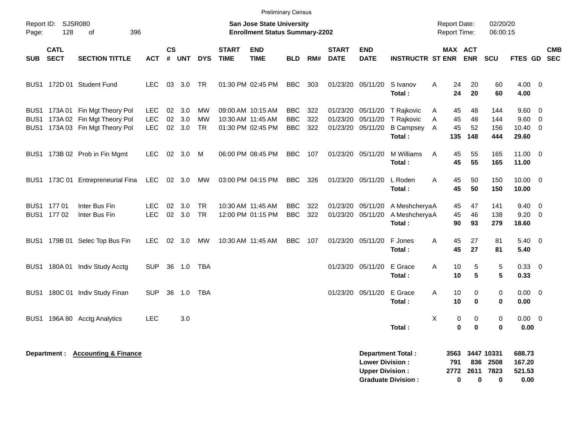|            |                            |                                                                                                       |                                  |                             |                   |                       |                             | <b>Preliminary Census</b>                                                 |                                        |                   |                                                    |                                                  |                                                        |                                      |                                                     |                                 |                                       |                                  |                          |
|------------|----------------------------|-------------------------------------------------------------------------------------------------------|----------------------------------|-----------------------------|-------------------|-----------------------|-----------------------------|---------------------------------------------------------------------------|----------------------------------------|-------------------|----------------------------------------------------|--------------------------------------------------|--------------------------------------------------------|--------------------------------------|-----------------------------------------------------|---------------------------------|---------------------------------------|----------------------------------|--------------------------|
| Page:      | Report ID: SJSR080<br>128  | 396<br>0f                                                                                             |                                  |                             |                   |                       |                             | <b>San Jose State University</b><br><b>Enrollment Status Summary-2202</b> |                                        |                   |                                                    |                                                  |                                                        | Report Date:<br><b>Report Time:</b>  |                                                     | 02/20/20<br>06:00:15            |                                       |                                  |                          |
| <b>SUB</b> | <b>CATL</b><br><b>SECT</b> | <b>SECTION TITTLE</b>                                                                                 | <b>ACT</b>                       | $\mathsf{cs}$<br>$\pmb{\#}$ | <b>UNT</b>        | <b>DYS</b>            | <b>START</b><br><b>TIME</b> | <b>END</b><br><b>TIME</b>                                                 | <b>BLD</b>                             | RM#               | <b>START</b><br><b>DATE</b>                        | <b>END</b><br><b>DATE</b>                        | <b>INSTRUCTR ST ENR</b>                                |                                      | MAX ACT<br><b>ENR</b>                               | <b>SCU</b>                      | FTES GD                               |                                  | <b>CMB</b><br><b>SEC</b> |
|            |                            | BUS1 172D 01 Student Fund                                                                             | LEC.                             |                             | 03 3.0            | TR                    |                             | 01:30 PM 02:45 PM                                                         | <b>BBC</b>                             | 303               |                                                    | 01/23/20 05/11/20                                | S Ivanov<br>Total:                                     | 24<br>Α<br>24                        | 20<br>20                                            | 60<br>60                        | $4.00 \ 0$<br>4.00                    |                                  |                          |
|            |                            | BUS1 173A 01 Fin Mgt Theory Pol<br>BUS1 173A 02 Fin Mgt Theory Pol<br>BUS1 173A 03 Fin Mgt Theory Pol | LEC.<br><b>LEC</b><br><b>LEC</b> | 02<br>02<br>02              | 3.0<br>3.0<br>3.0 | МW<br><b>MW</b><br>TR |                             | 09:00 AM 10:15 AM<br>10:30 AM 11:45 AM<br>01:30 PM 02:45 PM               | <b>BBC</b><br><b>BBC</b><br><b>BBC</b> | 322<br>322<br>322 | 01/23/20 05/11/20<br>01/23/20<br>01/23/20 05/11/20 | 05/11/20                                         | T Rajkovic<br>T Rajkovic<br><b>B Campsey</b><br>Total: | 45<br>A<br>A<br>45<br>Α<br>45<br>135 | 48<br>48<br>52<br>148                               | 144<br>144<br>156<br>444        | 9.60<br>9.60<br>$10.40 \t 0$<br>29.60 | $\overline{0}$<br>$\overline{0}$ |                          |
|            |                            | BUS1 173B 02 Prob in Fin Mgmt                                                                         | LEC.                             |                             | 02 3.0            | M                     |                             | 06:00 PM 08:45 PM                                                         | BBC.                                   | 107               | 01/23/20 05/11/20                                  |                                                  | M Williams<br><b>Total:</b>                            | 45<br>A<br>45                        | 55<br>55                                            | 165<br>165                      | $11.00 \t 0$<br>11.00                 |                                  |                          |
|            |                            | BUS1 173C 01 Entrepreneurial Fina                                                                     | <b>LEC</b>                       |                             | 02 3.0            | MW                    |                             | 03:00 PM 04:15 PM                                                         | <b>BBC</b>                             | 326               |                                                    | 01/23/20 05/11/20                                | L Roden<br>Total:                                      | A<br>45<br>45                        | 50<br>50                                            | 150<br>150                      | $10.00 \t 0$<br>10.00                 |                                  |                          |
|            | BUS1 177 01<br>BUS1 177 02 | Inter Bus Fin<br>Inter Bus Fin                                                                        | <b>LEC</b><br><b>LEC</b>         | 02                          | 3.0<br>02 3.0     | <b>TR</b><br>TR       |                             | 10:30 AM 11:45 AM<br>12:00 PM 01:15 PM                                    | <b>BBC</b><br><b>BBC</b>               | 322<br>322        | 01/23/20 05/11/20<br>01/23/20 05/11/20             |                                                  | A MeshcheryaA<br>A MeshcheryaA<br>Total:               | 45<br>45<br>90                       | 47<br>46<br>93                                      | 141<br>138<br>279               | 9.40<br>9.20<br>18.60                 | $\overline{0}$<br>$\overline{0}$ |                          |
|            |                            | BUS1 179B 01 Selec Top Bus Fin                                                                        | LEC.                             | 02                          | 3.0               | МW                    |                             | 10:30 AM 11:45 AM                                                         | <b>BBC</b>                             | 107               | 01/23/20 05/11/20                                  |                                                  | F Jones<br>Total:                                      | A<br>45<br>45                        | 27<br>27                                            | 81<br>81                        | $5.40 \quad 0$<br>5.40                |                                  |                          |
|            |                            | BUS1 180A 01 Indiv Study Acctg                                                                        | <b>SUP</b>                       | 36                          | 1.0               | TBA                   |                             |                                                                           |                                        |                   |                                                    | 01/23/20 05/11/20                                | E Grace<br>Total:                                      | A<br>10<br>10                        | 5<br>5                                              | 5<br>5                          | $0.33 \ 0$<br>0.33                    |                                  |                          |
| BUS1.      |                            | 180C 01 Indiv Study Finan                                                                             | <b>SUP</b>                       | 36                          | 1.0               | TBA                   |                             |                                                                           |                                        |                   |                                                    | 01/23/20 05/11/20                                | E Grace<br>Total:                                      | 10<br>A<br>10                        | 0<br>$\bf{0}$                                       | 0<br>$\bf{0}$                   | $0.00 \quad 0$<br>0.00                |                                  |                          |
| BUS1       |                            | 196A 80 Acctg Analytics                                                                               | <b>LEC</b>                       |                             | 3.0               |                       |                             |                                                                           |                                        |                   |                                                    |                                                  | Total:                                                 | X                                    | $\pmb{0}$<br>$\mathbf 0$<br>$\mathbf 0$<br>$\bf{0}$ | $\pmb{0}$<br>$\bf{0}$           | $0.00 \t 0$<br>0.00                   |                                  |                          |
|            |                            | Department: Accounting & Finance                                                                      |                                  |                             |                   |                       |                             |                                                                           |                                        |                   |                                                    | <b>Lower Division:</b><br><b>Upper Division:</b> | Department Total:<br><b>Graduate Division:</b>         | 3563<br>791<br>2772                  | 836<br>2611<br>0<br>0                               | 3447 10331<br>2508<br>7823<br>0 | 688.73<br>167.20<br>521.53<br>0.00    |                                  |                          |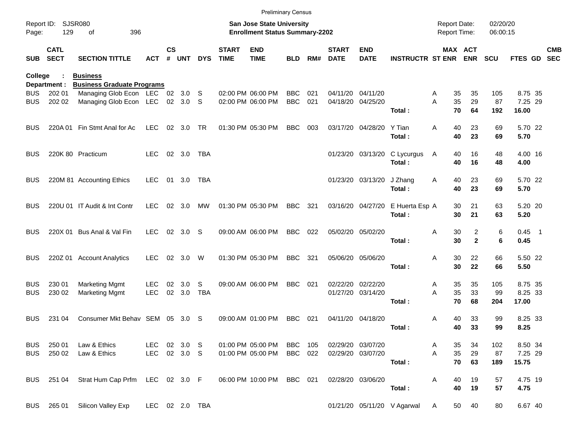|                     |                            |                                                         |                |               |                  |            |                             | <b>Preliminary Census</b>                                                 |                          |            |                             |                                        |                             |                                            |          |              |                      |                    |                          |
|---------------------|----------------------------|---------------------------------------------------------|----------------|---------------|------------------|------------|-----------------------------|---------------------------------------------------------------------------|--------------------------|------------|-----------------------------|----------------------------------------|-----------------------------|--------------------------------------------|----------|--------------|----------------------|--------------------|--------------------------|
| Report ID:<br>Page: | 129                        | <b>SJSR080</b><br>396<br>οf                             |                |               |                  |            |                             | <b>San Jose State University</b><br><b>Enrollment Status Summary-2202</b> |                          |            |                             |                                        |                             | <b>Report Date:</b><br><b>Report Time:</b> |          |              | 02/20/20<br>06:00:15 |                    |                          |
| <b>SUB</b>          | <b>CATL</b><br><b>SECT</b> | <b>SECTION TITTLE</b>                                   | ACT            | $\mathsf{cs}$ | # UNT            | <b>DYS</b> | <b>START</b><br><b>TIME</b> | <b>END</b><br><b>TIME</b>                                                 | <b>BLD</b>               | RM#        | <b>START</b><br><b>DATE</b> | <b>END</b><br><b>DATE</b>              | <b>INSTRUCTR ST ENR ENR</b> |                                            | MAX ACT  |              | <b>SCU</b>           | FTES GD            | <b>CMB</b><br><b>SEC</b> |
| College             |                            | <b>Business</b>                                         |                |               |                  |            |                             |                                                                           |                          |            |                             |                                        |                             |                                            |          |              |                      |                    |                          |
|                     | Department :               | <b>Business Graduate Programs</b>                       |                |               |                  |            |                             |                                                                           |                          |            |                             |                                        |                             |                                            |          |              |                      |                    |                          |
| BUS.<br><b>BUS</b>  | 202 01<br>202 02           | Managing Glob Econ LEC 02 3.0<br>Managing Glob Econ LEC |                |               | 02 3.0           | -S<br>-S   |                             | 02:00 PM 06:00 PM<br>02:00 PM 06:00 PM                                    | <b>BBC</b><br><b>BBC</b> | 021<br>021 |                             | 04/11/20 04/11/20<br>04/18/20 04/25/20 |                             | Α<br>A                                     | 35<br>35 | 35<br>29     | 105<br>87            | 8.75 35<br>7.25 29 |                          |
|                     |                            |                                                         |                |               |                  |            |                             |                                                                           |                          |            |                             |                                        | Total:                      |                                            | 70       | 64           | 192                  | 16.00              |                          |
| <b>BUS</b>          | 220A 01                    | Fin Stmt Anal for Ac                                    | <b>LEC</b>     |               | 02 3.0           | TR         |                             | 01:30 PM 05:30 PM                                                         | <b>BBC</b>               | 003        |                             | 03/17/20 04/28/20                      | Y Tian                      | A                                          | 40       | 23           | 69                   | 5.70 22            |                          |
|                     |                            |                                                         |                |               |                  |            |                             |                                                                           |                          |            |                             |                                        | Total:                      |                                            | 40       | 23           | 69                   | 5.70               |                          |
| <b>BUS</b>          |                            | 220K 80 Practicum                                       | <b>LEC</b>     |               | 02 3.0           | TBA        |                             |                                                                           |                          |            |                             | 01/23/20 03/13/20                      | C Lycurgus                  | A                                          | 40       | 16           | 48                   | 4.00 16            |                          |
|                     |                            |                                                         |                |               |                  |            |                             |                                                                           |                          |            |                             |                                        | Total:                      |                                            | 40       | 16           | 48                   | 4.00               |                          |
| <b>BUS</b>          |                            | 220M 81 Accounting Ethics                               | <b>LEC</b>     | 01            | 3.0              | TBA        |                             |                                                                           |                          |            |                             | 01/23/20 03/13/20                      | J Zhang                     | A                                          | 40       | 23           | 69                   | 5.70 22            |                          |
|                     |                            |                                                         |                |               |                  |            |                             |                                                                           |                          |            |                             |                                        | Total:                      |                                            | 40       | 23           | 69                   | 5.70               |                          |
| <b>BUS</b>          |                            | 220U 01 IT Audit & Int Contr                            | <b>LEC</b>     | 02            | 3.0              | МW         |                             | 01:30 PM 05:30 PM                                                         | <b>BBC</b>               | 321        |                             | 03/16/20 04/27/20                      | E Huerta Esp A              |                                            | 30       | 21           | 63                   | 5.20 20            |                          |
|                     |                            |                                                         |                |               |                  |            |                             |                                                                           |                          |            |                             |                                        | Total:                      |                                            | 30       | 21           | 63                   | 5.20               |                          |
| <b>BUS</b>          |                            | 220X 01 Bus Anal & Val Fin                              | <b>LEC</b>     | 02            | 3.0              | S.         |                             | 09:00 AM 06:00 PM                                                         | <b>BBC</b>               | 022        |                             | 05/02/20 05/02/20                      |                             | Α                                          | 30       | 2            | 6                    | $0.45$ 1           |                          |
|                     |                            |                                                         |                |               |                  |            |                             |                                                                           |                          |            |                             |                                        | Total:                      |                                            | 30       | $\mathbf{2}$ | 6                    | 0.45               |                          |
| <b>BUS</b>          | 220Z 01                    | <b>Account Analytics</b>                                | <b>LEC</b>     | 02            | 3.0              | W          |                             | 01:30 PM 05:30 PM                                                         | <b>BBC</b>               | 321        |                             | 05/06/20 05/06/20                      |                             | Α                                          | 30       | 22           | 66                   | 5.50 22            |                          |
|                     |                            |                                                         |                |               |                  |            |                             |                                                                           |                          |            |                             |                                        | Total:                      |                                            | 30       | 22           | 66                   | 5.50               |                          |
| <b>BUS</b>          | 230 01                     | <b>Marketing Mgmt</b>                                   | <b>LEC</b>     | 02            | 3.0 <sub>2</sub> | S          |                             | 09:00 AM 06:00 PM                                                         | <b>BBC</b>               | 021        |                             | 02/22/20 02/22/20                      |                             | Α                                          | 35       | 35           | 105                  | 8.75 35            |                          |
| <b>BUS</b>          | 230 02                     | <b>Marketing Mgmt</b>                                   | <b>LEC</b>     | 02            | 3.0              | <b>TBA</b> |                             |                                                                           |                          |            |                             | 01/27/20 03/14/20                      |                             | A                                          | 35       | 33           | 99                   | 8.25 33            |                          |
|                     |                            |                                                         |                |               |                  |            |                             |                                                                           |                          |            |                             |                                        | Total:                      |                                            | 70       | 68           | 204                  | 17.00              |                          |
| <b>BUS</b>          | 231 04                     | Consumer Mkt Behav SEM                                  |                | 05            | 3.0              | S.         |                             | 09:00 AM 01:00 PM                                                         | <b>BBC</b>               | 021        |                             | 04/11/20 04/18/20                      |                             | Α                                          | 40       | 33           | 99                   | 8.25 33            |                          |
|                     |                            |                                                         |                |               |                  |            |                             |                                                                           |                          |            |                             |                                        | Total:                      |                                            | 40       | 33           | 99                   | 8.25               |                          |
| BUS                 | 250 01                     | Law & Ethics                                            | LEC 02 3.0 S   |               |                  |            |                             | 01:00 PM 05:00 PM                                                         | <b>BBC</b> 105           |            |                             | 02/29/20 03/07/20                      |                             | A                                          | 35       | 34           | 102                  | 8.50 34            |                          |
| BUS                 | 250 02                     | Law & Ethics                                            | LEC 02 3.0 S   |               |                  |            |                             | 01:00 PM 05:00 PM                                                         | BBC 022                  |            |                             | 02/29/20 03/07/20                      |                             | A                                          | 35       | 29           | 87                   | 7.25 29            |                          |
|                     |                            |                                                         |                |               |                  |            |                             |                                                                           |                          |            |                             |                                        | Total:                      |                                            | 70       | 63           | 189                  | 15.75              |                          |
|                     |                            | BUS 251 04 Strat Hum Cap Prfm LEC 02 3.0 F              |                |               |                  |            |                             | 06:00 PM 10:00 PM BBC 021                                                 |                          |            |                             | 02/28/20 03/06/20                      |                             | Α                                          | 40       | 19           | 57                   | 4.75 19            |                          |
|                     |                            |                                                         |                |               |                  |            |                             |                                                                           |                          |            |                             |                                        | Total:                      |                                            | 40       | 19           | 57                   | 4.75               |                          |
|                     |                            | BUS 265 01 Silicon Valley Exp                           | LEC 02 2.0 TBA |               |                  |            |                             |                                                                           |                          |            |                             |                                        | 01/21/20 05/11/20 V Agarwal | A                                          | 50       | 40           | 80                   | 6.67 40            |                          |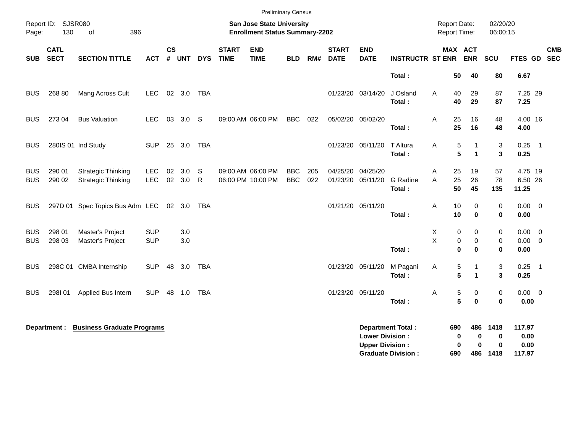|                          |                            |                                                        |                          |                |               |            |                             | <b>Preliminary Census</b>                                                 |                          |            |                             |                                                  |                                                       |                                     |                                                      |                        |                                    |            |
|--------------------------|----------------------------|--------------------------------------------------------|--------------------------|----------------|---------------|------------|-----------------------------|---------------------------------------------------------------------------|--------------------------|------------|-----------------------------|--------------------------------------------------|-------------------------------------------------------|-------------------------------------|------------------------------------------------------|------------------------|------------------------------------|------------|
| Page:                    | Report ID: SJSR080<br>130  | 396<br>of                                              |                          |                |               |            |                             | <b>San Jose State University</b><br><b>Enrollment Status Summary-2202</b> |                          |            |                             |                                                  |                                                       | <b>Report Date:</b><br>Report Time: |                                                      | 02/20/20<br>06:00:15   |                                    |            |
| <b>SUB</b>               | <b>CATL</b><br><b>SECT</b> | <b>SECTION TITTLE</b>                                  | <b>ACT</b>               | <b>CS</b><br># | <b>UNT</b>    | <b>DYS</b> | <b>START</b><br><b>TIME</b> | <b>END</b><br><b>TIME</b>                                                 | <b>BLD</b>               | RM#        | <b>START</b><br><b>DATE</b> | <b>END</b><br><b>DATE</b>                        | <b>INSTRUCTR ST ENR</b>                               |                                     | MAX ACT<br><b>ENR</b>                                | SCU                    | FTES GD SEC                        | <b>CMB</b> |
|                          |                            |                                                        |                          |                |               |            |                             |                                                                           |                          |            |                             |                                                  | Total:                                                | 50                                  | 40                                                   | 80                     | 6.67                               |            |
| <b>BUS</b>               | 268 80                     | Mang Across Cult                                       | LEC.                     |                | 02 3.0 TBA    |            |                             |                                                                           |                          |            |                             | 01/23/20 03/14/20                                | J Osland<br>Total:                                    | Α<br>40<br>40                       | 29<br>29                                             | 87<br>87               | 7.25 29<br>7.25                    |            |
| <b>BUS</b>               | 273 04                     | <b>Bus Valuation</b>                                   | LEC.                     | 03             | 3.0           | -S         |                             | 09:00 AM 06:00 PM                                                         | <b>BBC</b>               | 022        | 05/02/20 05/02/20           |                                                  | Total:                                                | 25<br>Α<br>25                       | 16<br>16                                             | 48<br>48               | 4.00 16<br>4.00                    |            |
| <b>BUS</b>               |                            | 280IS 01 Ind Study                                     | <b>SUP</b>               |                | 25 3.0        | TBA        |                             |                                                                           |                          |            |                             | 01/23/20 05/11/20                                | T Altura<br>Total:                                    | Α                                   | 5<br>1<br>5<br>$\mathbf{1}$                          | 3<br>3                 | $0.25$ 1<br>0.25                   |            |
| <b>BUS</b><br><b>BUS</b> | 290 01<br>290 02           | <b>Strategic Thinking</b><br><b>Strategic Thinking</b> | <b>LEC</b><br><b>LEC</b> | 02             | 3.0<br>02 3.0 | S<br>R     |                             | 09:00 AM 06:00 PM<br>06:00 PM 10:00 PM                                    | <b>BBC</b><br><b>BBC</b> | 205<br>022 | 04/25/20 04/25/20           | 01/23/20 05/11/20                                | G Radine<br>Total:                                    | 25<br>Α<br>Α<br>25<br>50            | 19<br>26<br>45                                       | 57<br>78<br>135        | 4.75 19<br>6.50 26<br>11.25        |            |
| <b>BUS</b>               |                            | 297D 01 Spec Topics Bus Adm LEC 02 3.0                 |                          |                |               | TBA        |                             |                                                                           |                          |            |                             | 01/21/20 05/11/20                                | Total:                                                | A<br>10<br>10                       | 0<br>$\bf{0}$                                        | 0<br>0                 | $0.00 \t 0$<br>0.00                |            |
| <b>BUS</b><br><b>BUS</b> | 298 01<br>298 03           | Master's Project<br>Master's Project                   | <b>SUP</b><br><b>SUP</b> |                | 3.0<br>3.0    |            |                             |                                                                           |                          |            |                             |                                                  | Total:                                                | х<br>X                              | 0<br>0<br>$\pmb{0}$<br>$\pmb{0}$<br>$\mathbf 0$<br>0 | 0<br>$\,0\,$<br>0      | $0.00 \t 0$<br>$0.00 \t 0$<br>0.00 |            |
| <b>BUS</b>               |                            | 298C 01 CMBA Internship                                | <b>SUP</b>               | 48             | 3.0           | TBA        |                             |                                                                           |                          |            |                             | 01/23/20 05/11/20                                | M Pagani<br>Total:                                    | A                                   | 5<br>1<br>5<br>$\mathbf{1}$                          | 3<br>3                 | $0.25$ 1<br>0.25                   |            |
| <b>BUS</b>               | 298101                     | Applied Bus Intern                                     | <b>SUP</b>               | 48             | 1.0           | TBA        |                             |                                                                           |                          |            | 01/23/20 05/11/20           |                                                  | Total:                                                | Α                                   | 5<br>0<br>5<br>$\bf{0}$                              | 0<br>$\bf{0}$          | $0.00 \t 0$<br>0.00                |            |
|                          | Department :               | <b>Business Graduate Programs</b>                      |                          |                |               |            |                             |                                                                           |                          |            |                             | <b>Lower Division:</b><br><b>Upper Division:</b> | <b>Department Total:</b><br><b>Graduate Division:</b> | 690<br>690                          | 486<br>$\mathbf 0$<br>0<br>0<br>0<br>486             | 1418<br>0<br>0<br>1418 | 117.97<br>0.00<br>0.00<br>117.97   |            |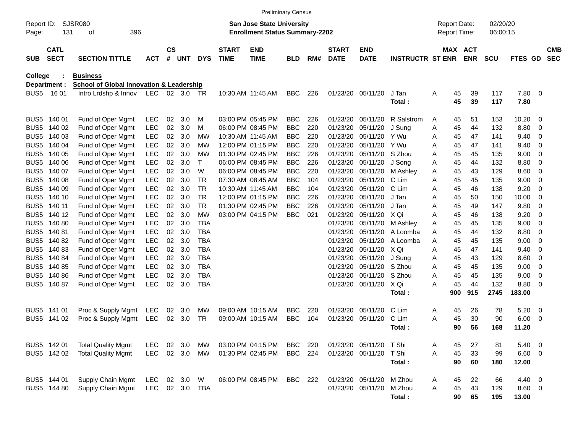|                     |                            |                                                     |            |                    |            |            |                             |                                                                           | <b>Preliminary Census</b> |     |                             |                           |                         |                                            |          |                       |                      |              |                         |                          |
|---------------------|----------------------------|-----------------------------------------------------|------------|--------------------|------------|------------|-----------------------------|---------------------------------------------------------------------------|---------------------------|-----|-----------------------------|---------------------------|-------------------------|--------------------------------------------|----------|-----------------------|----------------------|--------------|-------------------------|--------------------------|
| Report ID:<br>Page: | 131                        | SJSR080<br>396<br>οf                                |            |                    |            |            |                             | <b>San Jose State University</b><br><b>Enrollment Status Summary-2202</b> |                           |     |                             |                           |                         | <b>Report Date:</b><br><b>Report Time:</b> |          |                       | 02/20/20<br>06:00:15 |              |                         |                          |
| <b>SUB</b>          | <b>CATL</b><br><b>SECT</b> | <b>SECTION TITTLE</b>                               | <b>ACT</b> | $\mathsf{cs}$<br># | <b>UNT</b> | <b>DYS</b> | <b>START</b><br><b>TIME</b> | <b>END</b><br><b>TIME</b>                                                 | <b>BLD</b>                | RM# | <b>START</b><br><b>DATE</b> | <b>END</b><br><b>DATE</b> | <b>INSTRUCTR ST ENR</b> |                                            |          | MAX ACT<br><b>ENR</b> | <b>SCU</b>           | FTES GD      |                         | <b>CMB</b><br><b>SEC</b> |
| <b>College</b>      |                            | <b>Business</b>                                     |            |                    |            |            |                             |                                                                           |                           |     |                             |                           |                         |                                            |          |                       |                      |              |                         |                          |
|                     | Department :               | <b>School of Global Innovation &amp; Leadership</b> |            |                    |            |            |                             |                                                                           |                           |     |                             |                           |                         |                                            |          |                       |                      |              |                         |                          |
| BUS <sub>5</sub>    | 16 01                      | Intro Lrdshp & Innov                                | LEC        |                    | 02 3.0 TR  |            |                             | 10:30 AM 11:45 AM                                                         | <b>BBC</b>                | 226 | 01/23/20                    | 05/11/20                  | J Tan<br>Total:         | A                                          | 45<br>45 | 39<br>39              | 117<br>117           | 7.80<br>7.80 | $\overline{\mathbf{0}}$ |                          |
| BUS <sub>5</sub>    | 140 01                     | Fund of Oper Mgmt                                   | LEC        | 02                 | 3.0        | M          |                             | 03:00 PM 05:45 PM                                                         | <b>BBC</b>                | 226 | 01/23/20                    | 05/11/20                  | R Salstrom              | A                                          | 45       | 51                    | 153                  | 10.20        | $\overline{\mathbf{0}}$ |                          |
| BUS <sub>5</sub>    | 140 02                     | Fund of Oper Mgmt                                   | LEC        | 02                 | 3.0        | м          |                             | 06:00 PM 08:45 PM                                                         | <b>BBC</b>                | 220 | 01/23/20                    | 05/11/20                  | J Sung                  | Α                                          | 45       | 44                    | 132                  | 8.80         | 0                       |                          |
| BUS <sub>5</sub>    | 140 03                     | Fund of Oper Mgmt                                   | LEC        | 02                 | 3.0        | МW         |                             | 10:30 AM 11:45 AM                                                         | <b>BBC</b>                | 220 | 01/23/20                    | 05/11/20                  | Y Wu                    | A                                          | 45       | 47                    | 141                  | 9.40         | 0                       |                          |
| BUS <sub>5</sub>    | 140 04                     | Fund of Oper Mgmt                                   | <b>LEC</b> | 02                 | 3.0        | МW         |                             | 12:00 PM 01:15 PM                                                         | <b>BBC</b>                | 220 | 01/23/20                    | 05/11/20                  | Y Wu                    | A                                          | 45       | 47                    | 141                  | 9.40         | 0                       |                          |
| BUS <sub>5</sub>    | 140 05                     | Fund of Oper Mgmt                                   | LEC        | 02                 | 3.0        | МW         |                             | 01:30 PM 02:45 PM                                                         | <b>BBC</b>                | 226 | 01/23/20                    | 05/11/20                  | S Zhou                  | A                                          | 45       | 45                    | 135                  | 9.00         | 0                       |                          |
| BUS <sub>5</sub>    | 140 06                     | Fund of Oper Mgmt                                   | LEC        | 02                 | 3.0        | $\top$     |                             | 06:00 PM 08:45 PM                                                         | <b>BBC</b>                | 226 | 01/23/20                    | 05/11/20                  | J Song                  | A                                          | 45       | 44                    | 132                  | 8.80         | 0                       |                          |
| BUS <sub>5</sub>    | 140 07                     | Fund of Oper Mgmt                                   | LEC        | 02                 | 3.0        | W          |                             | 06:00 PM 08:45 PM                                                         | <b>BBC</b>                | 220 | 01/23/20                    | 05/11/20                  | M Ashley                | Α                                          | 45       | 43                    | 129                  | 8.60         | 0                       |                          |
| BUS <sub>5</sub>    | 140 08                     | Fund of Oper Mgmt                                   | LEC        | 02                 | 3.0        | <b>TR</b>  |                             | 07:30 AM 08:45 AM                                                         | <b>BBC</b>                | 104 | 01/23/20                    | 05/11/20                  | C Lim                   | A                                          | 45       | 45                    | 135                  | 9.00         | 0                       |                          |
| BUS <sub>5</sub>    | 140 09                     | Fund of Oper Mgmt                                   | LEC        | 02                 | 3.0        | <b>TR</b>  |                             | 10:30 AM 11:45 AM                                                         | <b>BBC</b>                | 104 | 01/23/20                    | 05/11/20                  | C Lim                   | A                                          | 45       | 46                    | 138                  | 9.20         | 0                       |                          |
| BUS <sub>5</sub>    | 140 10                     | Fund of Oper Mgmt                                   | <b>LEC</b> | 02                 | 3.0        | <b>TR</b>  |                             | 12:00 PM 01:15 PM                                                         | <b>BBC</b>                | 226 | 01/23/20                    | 05/11/20                  | J Tan                   | A                                          | 45       | 50                    | 150                  | 10.00        | 0                       |                          |
| BUS <sub>5</sub>    | 140 11                     | Fund of Oper Mgmt                                   | LEC        | 02                 | 3.0        | <b>TR</b>  |                             | 01:30 PM 02:45 PM                                                         | <b>BBC</b>                | 226 | 01/23/20                    | 05/11/20                  | J Tan                   | A                                          | 45       | 49                    | 147                  | 9.80         | 0                       |                          |
| BUS <sub>5</sub>    | 140 12                     | Fund of Oper Mgmt                                   | <b>LEC</b> | 02                 | 3.0        | <b>MW</b>  |                             | 03:00 PM 04:15 PM                                                         | <b>BBC</b>                | 021 | 01/23/20                    | 05/11/20                  | X Qi                    | A                                          | 45       | 46                    | 138                  | 9.20         | 0                       |                          |
| BUS <sub>5</sub>    | 14080                      | Fund of Oper Mgmt                                   | <b>LEC</b> | 02                 | 3.0        | <b>TBA</b> |                             |                                                                           |                           |     | 01/23/20                    | 05/11/20                  | M Ashley                | Α                                          | 45       | 45                    | 135                  | 9.00         | 0                       |                          |
| BUS <sub>5</sub>    | 14081                      | Fund of Oper Mgmt                                   | LEC        | 02                 | 3.0        | <b>TBA</b> |                             |                                                                           |                           |     | 01/23/20                    | 05/11/20                  | A Loomba                | A                                          | 45       | 44                    | 132                  | 8.80         | $\overline{0}$          |                          |
| BUS <sub>5</sub>    | 140 82                     | Fund of Oper Mgmt                                   | <b>LEC</b> | 02                 | 3.0        | <b>TBA</b> |                             |                                                                           |                           |     | 01/23/20                    | 05/11/20                  | A Loomba                | A                                          | 45       | 45                    | 135                  | 9.00         | 0                       |                          |
| BUS <sub>5</sub>    | 14083                      | Fund of Oper Mgmt                                   | <b>LEC</b> | 02                 | 3.0        | <b>TBA</b> |                             |                                                                           |                           |     | 01/23/20                    | 05/11/20                  | X Qi                    | A                                          | 45       | 47                    | 141                  | 9.40         | 0                       |                          |
| BUS <sub>5</sub>    | 140 84                     | Fund of Oper Mgmt                                   | <b>LEC</b> | 02                 | 3.0        | <b>TBA</b> |                             |                                                                           |                           |     | 01/23/20                    | 05/11/20                  | J Sung                  | A                                          | 45       | 43                    | 129                  | 8.60         | 0                       |                          |
| BUS <sub>5</sub>    | 140 85                     | Fund of Oper Mgmt                                   | <b>LEC</b> | 02                 | 3.0        | <b>TBA</b> |                             |                                                                           |                           |     | 01/23/20                    | 05/11/20                  | S Zhou                  | A                                          | 45       | 45                    | 135                  | 9.00         | 0                       |                          |
| BUS <sub>5</sub>    | 140 86                     | Fund of Oper Mgmt                                   | <b>LEC</b> | 02                 | 3.0        | <b>TBA</b> |                             |                                                                           |                           |     | 01/23/20                    | 05/11/20                  | S Zhou                  | A                                          | 45       | 45                    | 135                  | 9.00         | 0                       |                          |
| BUS5                | 140 87                     | Fund of Oper Mgmt                                   | <b>LEC</b> | 02                 | 3.0        | <b>TBA</b> |                             |                                                                           |                           |     | 01/23/20                    | 05/11/20                  | X Qi                    | A                                          | 45       | 44                    | 132<br>2745          | 8.80         | $\overline{\mathbf{0}}$ |                          |
|                     |                            |                                                     |            |                    |            |            |                             |                                                                           |                           |     |                             |                           | Total:                  |                                            | 900      | 915                   |                      | 183.00       |                         |                          |
| BUS5                | 141 01                     | Proc & Supply Mgmt                                  | LEC        | 02                 | 3.0        | MW         |                             | 09:00 AM 10:15 AM                                                         | <b>BBC</b>                | 220 | 01/23/20                    | 05/11/20                  | C Lim                   | A                                          | 45       | 26                    | 78                   | 5.20         | $\overline{0}$          |                          |
| BUS5                | 141 02                     | Proc & Supply Mgmt                                  | <b>LEC</b> | 02                 | 3.0        | TR         |                             | 09:00 AM 10:15 AM                                                         | <b>BBC</b>                | 104 | 01/23/20                    | 05/11/20                  | C Lim                   | A                                          | 45       | 30                    | 90                   | 6.00         | - 0                     |                          |
|                     |                            |                                                     |            |                    |            |            |                             |                                                                           |                           |     |                             |                           | Total:                  |                                            | 90       | 56                    | 168                  | 11.20        |                         |                          |
|                     | BUS5 142 01                | <b>Total Quality Mgmt</b>                           | <b>LEC</b> | 02                 | 3.0        | MW         |                             | 03:00 PM 04:15 PM                                                         | <b>BBC</b>                | 220 | 01/23/20                    | 05/11/20                  | T Shi                   | A                                          | 45       | 27                    | 81                   | 5.40         | $\overline{\mathbf{0}}$ |                          |
|                     | BUS5 142 02                | <b>Total Quality Mgmt</b>                           | <b>LEC</b> |                    | 02 3.0     | MW         |                             | 01:30 PM 02:45 PM                                                         | <b>BBC</b> 224            |     |                             | 01/23/20 05/11/20         | T Shi                   | A                                          | 45       | 33                    | 99                   | 6.60 0       |                         |                          |
|                     |                            |                                                     |            |                    |            |            |                             |                                                                           |                           |     |                             |                           | Total:                  |                                            | 90       | 60                    | 180                  | 12.00        |                         |                          |
|                     | BUS5 144 01                | Supply Chain Mgmt                                   | <b>LEC</b> |                    | 02 3.0     | W          |                             | 06:00 PM 08:45 PM                                                         | <b>BBC</b> 222            |     |                             | 01/23/20 05/11/20         | M Zhou                  | A                                          | 45       | 22                    | 66                   | $4.40 \ 0$   |                         |                          |
|                     | BUS5 144 80                | Supply Chain Mgmt                                   | LEC        |                    | 02 3.0     | TBA        |                             |                                                                           |                           |     |                             | 01/23/20 05/11/20         | M Zhou                  | A                                          | 45       | 43                    | 129                  | 8.60 0       |                         |                          |
|                     |                            |                                                     |            |                    |            |            |                             |                                                                           |                           |     |                             |                           | Total:                  |                                            | 90       | 65                    | 195                  | 13.00        |                         |                          |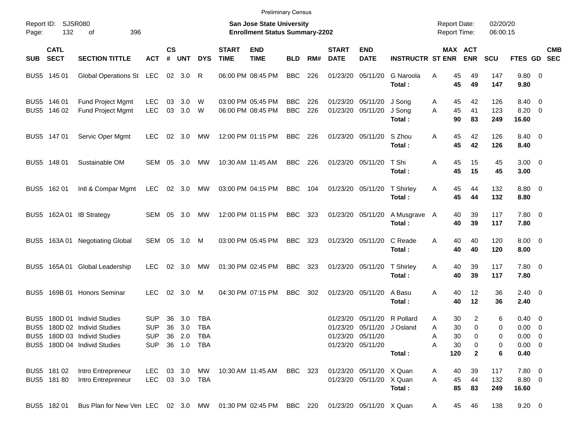|                     |                            |                                                                                                                         |                                        |                    |                              |                          |                             | <b>Preliminary Census</b>                                                 |                          |            |                             |                                                                                  |                            |                                                 |                                  |                       |                                                                     |            |
|---------------------|----------------------------|-------------------------------------------------------------------------------------------------------------------------|----------------------------------------|--------------------|------------------------------|--------------------------|-----------------------------|---------------------------------------------------------------------------|--------------------------|------------|-----------------------------|----------------------------------------------------------------------------------|----------------------------|-------------------------------------------------|----------------------------------|-----------------------|---------------------------------------------------------------------|------------|
| Report ID:<br>Page: | 132                        | <b>SJSR080</b><br>396<br>оf                                                                                             |                                        |                    |                              |                          |                             | <b>San Jose State University</b><br><b>Enrollment Status Summary-2202</b> |                          |            |                             |                                                                                  |                            | <b>Report Date:</b><br><b>Report Time:</b>      |                                  | 02/20/20<br>06:00:15  |                                                                     |            |
| <b>SUB</b>          | <b>CATL</b><br><b>SECT</b> | <b>SECTION TITTLE</b>                                                                                                   | АСТ                                    | $\mathsf{cs}$<br># | <b>UNT</b>                   | <b>DYS</b>               | <b>START</b><br><b>TIME</b> | <b>END</b><br><b>TIME</b>                                                 | <b>BLD</b>               | RM#        | <b>START</b><br><b>DATE</b> | <b>END</b><br><b>DATE</b>                                                        | <b>INSTRUCTR ST ENR</b>    |                                                 | MAX ACT<br><b>ENR</b>            | SCU                   | FTES GD SEC                                                         | <b>CMB</b> |
|                     | BUS5 145 01                | Global Operations St LEC                                                                                                |                                        |                    | 02 3.0                       | R                        |                             | 06:00 PM 08:45 PM                                                         | <b>BBC</b>               | 226        |                             | 01/23/20 05/11/20                                                                | G Naroola<br>Total:        | Α<br>45<br>45                                   | 49<br>49                         | 147<br>147            | 9.80 0<br>9.80                                                      |            |
|                     | BUS5 146 01<br>BUS5 146 02 | Fund Project Mgmt<br>Fund Project Mgmt                                                                                  | <b>LEC</b><br><b>LEC</b>               | 03<br>03           | 3.0<br>3.0                   | W<br>W                   |                             | 03:00 PM 05:45 PM<br>06:00 PM 08:45 PM                                    | <b>BBC</b><br><b>BBC</b> | 226<br>226 |                             | 01/23/20 05/11/20<br>01/23/20 05/11/20                                           | J Song<br>J Song<br>Total: | 45<br>A<br>45<br>A<br>90                        | 42<br>41<br>83                   | 126<br>123<br>249     | 8.40 0<br>$8.20 \ 0$<br>16.60                                       |            |
|                     | BUS5 147 01                | Servic Oper Mgmt                                                                                                        | <b>LEC</b>                             |                    | $02 \quad 3.0$               | МW                       |                             | 12:00 PM 01:15 PM                                                         | <b>BBC</b>               | 226        |                             | 01/23/20 05/11/20                                                                | S Zhou<br>Total:           | Α<br>45<br>45                                   | 42<br>42                         | 126<br>126            | 8.40 0<br>8.40                                                      |            |
|                     | BUS5 148 01                | Sustainable OM                                                                                                          | SEM 05                                 |                    | 3.0                          | МW                       |                             | 10:30 AM 11:45 AM                                                         | <b>BBC</b>               | 226        |                             | 01/23/20 05/11/20                                                                | T Shi<br>Total:            | Α<br>45<br>45                                   | 15<br>15                         | 45<br>45              | $3.00 \ 0$<br>3.00                                                  |            |
|                     | BUS5 162 01                | Intl & Compar Mgmt                                                                                                      | LEC                                    |                    | 02 3.0                       | <b>MW</b>                |                             | 03:00 PM 04:15 PM                                                         | BBC                      | 104        |                             | 01/23/20 05/11/20                                                                | T Shirley<br>Total:        | 45<br>A<br>45                                   | 44<br>44                         | 132<br>132            | 8.80 0<br>8.80                                                      |            |
|                     |                            | BUS5 162A 01 IB Strategy                                                                                                | SEM 05                                 |                    | 3.0                          | МW                       |                             | 12:00 PM 01:15 PM                                                         | <b>BBC</b>               | 323        |                             | 01/23/20 05/11/20                                                                | A Musgrave<br>Total:       | 40<br>A<br>40                                   | 39<br>39                         | 117<br>117            | 7.80 0<br>7.80                                                      |            |
|                     | BUS5 163A01                | <b>Negotiating Global</b>                                                                                               | SEM 05                                 |                    | 3.0                          | M                        |                             | 03:00 PM 05:45 PM                                                         | <b>BBC</b>               | 323        |                             | 01/23/20 05/11/20                                                                | C Reade<br>Total:          | 40<br>A<br>40                                   | 40<br>40                         | 120<br>120            | $8.00 \t 0$<br>8.00                                                 |            |
|                     |                            | BUS5 165A 01 Global Leadership                                                                                          | <b>LEC</b>                             | 02                 | 3.0                          | МW                       |                             | 01:30 PM 02:45 PM                                                         | <b>BBC</b>               | 323        |                             | 01/23/20 05/11/20                                                                | <b>T</b> Shirley<br>Total: | 40<br>A<br>40                                   | 39<br>39                         | 117<br>117            | 7.80 0<br>7.80                                                      |            |
|                     |                            | BUS5 169B 01 Honors Seminar                                                                                             | <b>LEC</b>                             | 02                 | 3.0                          | M                        |                             | 04:30 PM 07:15 PM                                                         | <b>BBC</b>               | 302        |                             | 01/23/20 05/11/20                                                                | A Basu<br>Total:           | A<br>40<br>40                                   | 12<br>12                         | 36<br>36              | $2.40 \ 0$<br>2.40                                                  |            |
| BUS5                |                            | 180D 01 Individ Studies<br>BUS5 180D 02 Individ Studies<br>BUS5 180D 03 Individ Studies<br>BUS5 180D 04 Individ Studies | <b>SUP</b><br><b>SUP</b><br><b>SUP</b> | 36<br>36           | 3.0<br>3.0<br>SUP 36 1.0 TBA | <b>TBA</b><br><b>TBA</b> |                             |                                                                           |                          |            | 01/23/20                    | 05/11/20<br>01/23/20 05/11/20 J Osland<br>01/23/20 05/11/20<br>01/23/20 05/11/20 | R Pollard<br>Total:        | 30<br>A<br>30<br>Α<br>30<br>Α<br>30<br>Α<br>120 | 2<br>0<br>0<br>0<br>$\mathbf{2}$ | 6<br>0<br>0<br>0<br>6 | $0.40 \quad 0$<br>$0.00 \t 0$<br>$0.00 \t 0$<br>$0.00 \t 0$<br>0.40 |            |
|                     | BUS5 181 02<br>BUS5 181 80 | Intro Entrepreneur<br>Intro Entrepreneur                                                                                | LEC<br>LEC 03 3.0 TBA                  |                    | 03 3.0 MW                    |                          |                             | 10:30 AM  11:45 AM                                                        | BBC 323                  |            |                             | 01/23/20 05/11/20 X Quan<br>01/23/20 05/11/20 X Quan                             | Total:                     | A<br>40<br>45<br>Α<br>85                        | 39<br>44<br>83                   | 117<br>132<br>249     | 7.80 0<br>8.80 0<br>16.60                                           |            |
|                     | BUS5 182 01                | Bus Plan for New Ven LEC 02 3.0 MW 01:30 PM 02:45 PM BBC 220 01/23/20 05/11/20 X Quan                                   |                                        |                    |                              |                          |                             |                                                                           |                          |            |                             |                                                                                  |                            | 45<br>A                                         | 46                               | 138                   | $9.20 \ 0$                                                          |            |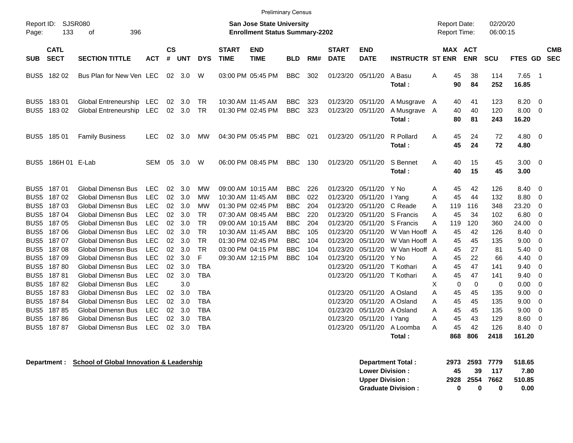|                     |                            |                                                      |            |                    |                       |                 |                             | <b>Preliminary Census</b>                                                 |                          |            |                             |                           |                                      |   |                                            |                |                      |                       |                                |                          |
|---------------------|----------------------------|------------------------------------------------------|------------|--------------------|-----------------------|-----------------|-----------------------------|---------------------------------------------------------------------------|--------------------------|------------|-----------------------------|---------------------------|--------------------------------------|---|--------------------------------------------|----------------|----------------------|-----------------------|--------------------------------|--------------------------|
| Report ID:<br>Page: | 133                        | <b>SJSR080</b><br>396<br>of                          |            |                    |                       |                 |                             | <b>San Jose State University</b><br><b>Enrollment Status Summary-2202</b> |                          |            |                             |                           |                                      |   | <b>Report Date:</b><br><b>Report Time:</b> |                | 02/20/20<br>06:00:15 |                       |                                |                          |
| <b>SUB</b>          | <b>CATL</b><br><b>SECT</b> | <b>SECTION TITTLE</b>                                | <b>ACT</b> | $\mathsf{cs}$<br># | <b>UNT</b>            | <b>DYS</b>      | <b>START</b><br><b>TIME</b> | <b>END</b><br><b>TIME</b>                                                 | <b>BLD</b>               | RM#        | <b>START</b><br><b>DATE</b> | <b>END</b><br><b>DATE</b> | <b>INSTRUCTR ST ENR</b>              |   | <b>MAX ACT</b>                             | <b>ENR</b>     | SCU                  | FTES GD               |                                | <b>CMB</b><br><b>SEC</b> |
| BUS5                | 18202                      | Bus Plan for New Ven LEC                             |            | 02                 | 3.0                   | W               |                             | 03:00 PM 05:45 PM                                                         | <b>BBC</b>               | 302        | 01/23/20                    | 05/11/20                  | A Basu<br>Total:                     | Α | 45<br>90                                   | 38<br>84       | 114<br>252           | 7.65<br>16.85         | $\overline{\phantom{1}}$       |                          |
| BUS5<br>BUS5        | 18301<br>18302             | Global Entreneurship LEC<br>Global Entreneurship LEC |            | 02                 | 3.0<br>$02 \quad 3.0$ | TR<br><b>TR</b> | 10:30 AM 11:45 AM           | 01:30 PM 02:45 PM                                                         | <b>BBC</b><br><b>BBC</b> | 323<br>323 | 01/23/20<br>01/23/20        | 05/11/20<br>05/11/20      | A Musgrave A<br>A Musgrave<br>Total: | A | 40<br>40<br>80                             | 41<br>40<br>81 | 123<br>120<br>243    | 8.20<br>8.00<br>16.20 | - 0<br>$\overline{\mathbf{0}}$ |                          |
|                     | BUS5 185 01                | <b>Family Business</b>                               | <b>LEC</b> | 02                 | 3.0                   | MW              |                             | 04:30 PM 05:45 PM                                                         | <b>BBC</b>               | 021        | 01/23/20 05/11/20           |                           | R Pollard<br>Total:                  | A | 45<br>45                                   | 24<br>24       | 72<br>72             | 4.80 0<br>4.80        |                                |                          |
|                     | BUS5 186H 01 E-Lab         |                                                      | SEM 05     |                    | 3.0                   | W               |                             | 06:00 PM 08:45 PM                                                         | <b>BBC</b>               | 130        | 01/23/20                    | 05/11/20                  | S Bennet<br>Total:                   | Α | 40<br>40                                   | 15<br>15       | 45<br>45             | $3.00 \ 0$<br>3.00    |                                |                          |
| BUS5                | 18701                      | <b>Global Dimensn Bus</b>                            | <b>LEC</b> | 02                 | 3.0                   | <b>MW</b>       |                             | 09:00 AM 10:15 AM                                                         | <b>BBC</b>               | 226        | 01/23/20                    | 05/11/20                  | Y No                                 | A | 45                                         | 42             | 126                  | 8.40                  | - 0                            |                          |
| BUS5                | 18702                      | <b>Global Dimensn Bus</b>                            | <b>LEC</b> | 02                 | 3.0                   | <b>MW</b>       | 10:30 AM 11:45 AM           |                                                                           | <b>BBC</b>               | 022        | 01/23/20                    | 05/11/20                  | I Yang                               | Α | 45                                         | 44             | 132                  | 8.80                  | 0                              |                          |
| BUS5                | 18703                      | Global Dimensn Bus                                   | <b>LEC</b> | 02                 | 3.0                   | <b>MW</b>       |                             | 01:30 PM 02:45 PM                                                         | <b>BBC</b>               | 204        | 01/23/20                    | 05/11/20                  | C Reade                              | A | 119                                        | 116            | 348                  | 23.20                 | 0                              |                          |
| BUS5                | 18704                      | <b>Global Dimensn Bus</b>                            | <b>LEC</b> | 02                 | 3.0                   | <b>TR</b>       |                             | 07:30 AM 08:45 AM                                                         | <b>BBC</b>               | 220        | 01/23/20                    | 05/11/20                  | S Francis                            | A | 45                                         | 34             | 102                  | 6.80                  | $\mathbf 0$                    |                          |
| BUS5                | 18705                      | <b>Global Dimensn Bus</b>                            | <b>LEC</b> | 02                 | 3.0                   | <b>TR</b>       |                             | 09:00 AM 10:15 AM                                                         | <b>BBC</b>               | 204        | 01/23/20                    | 05/11/20                  | S Francis                            | Α | 119                                        | 120            | 360                  | 24.00                 | 0                              |                          |
| BUS5                | 18706                      | <b>Global Dimensn Bus</b>                            | <b>LEC</b> | 02                 | 3.0                   | <b>TR</b>       | 10:30 AM 11:45 AM           |                                                                           | <b>BBC</b>               | 105        | 01/23/20                    | 05/11/20                  | W Van Hooff A                        |   | 45                                         | 42             | 126                  | 8.40                  | - 0                            |                          |
| BUS5                | 18707                      | <b>Global Dimensn Bus</b>                            | <b>LEC</b> | 02                 | 3.0                   | <b>TR</b>       |                             | 01:30 PM 02:45 PM                                                         | <b>BBC</b>               | 104        | 01/23/20                    | 05/11/20                  | W Van Hooff A                        |   | 45                                         | 45             | 135                  | 9.00                  | $\overline{0}$                 |                          |
| BUS5                | 18708                      | Global Dimensn Bus                                   | <b>LEC</b> | 02                 | 3.0                   | <b>TR</b>       |                             | 03:00 PM 04:15 PM                                                         | <b>BBC</b>               | 104        | 01/23/20                    | 05/11/20                  | W Van Hooff A                        |   | 45                                         | 27             | 81                   | 5.40                  | - 0                            |                          |
| BUS5                | 18709                      | <b>Global Dimensn Bus</b>                            | <b>LEC</b> | 02                 | 3.0                   | F               |                             | 09:30 AM 12:15 PM                                                         | <b>BBC</b>               | 104        | 01/23/20                    | 05/11/20                  | Y No                                 | Α | 45                                         | 22             | 66                   | 4.40                  | $\overline{0}$                 |                          |
| BUS5                | 18780                      | <b>Global Dimensn Bus</b>                            | <b>LEC</b> | 02                 | 3.0                   | <b>TBA</b>      |                             |                                                                           |                          |            | 01/23/20                    | 05/11/20                  | T Kothari                            | Α | 45                                         | 47             | 141                  | 9.40                  | 0                              |                          |
| BUS5                | 18781                      | <b>Global Dimensn Bus</b>                            | <b>LEC</b> | 02                 | 3.0                   | <b>TBA</b>      |                             |                                                                           |                          |            | 01/23/20                    | 05/11/20                  | T Kothari                            | A | 45                                         | 47             | 141                  | 9.40                  | $\mathbf 0$                    |                          |
| BUS5                | 18782                      | Global Dimensn Bus                                   | <b>LEC</b> |                    | 3.0                   |                 |                             |                                                                           |                          |            |                             |                           |                                      | Х | $\mathbf 0$                                | $\mathbf 0$    | 0                    | 0.00                  | 0                              |                          |
| BUS5                | 18783                      | <b>Global Dimensn Bus</b>                            | <b>LEC</b> | 02                 | 3.0                   | <b>TBA</b>      |                             |                                                                           |                          |            | 01/23/20                    | 05/11/20                  | A Osland                             | Α | 45                                         | 45             | 135                  | 9.00                  | 0                              |                          |
| BUS5                | 18784                      | <b>Global Dimensn Bus</b>                            | <b>LEC</b> | 02                 | 3.0                   | <b>TBA</b>      |                             |                                                                           |                          |            | 01/23/20                    | 05/11/20                  | A Osland                             | Α | 45                                         | 45             | 135                  | 9.00                  | $\overline{\mathbf{0}}$        |                          |
| BUS5                | 18785                      | <b>Global Dimensn Bus</b>                            | <b>LEC</b> | 02                 | 3.0                   | <b>TBA</b>      |                             |                                                                           |                          |            | 01/23/20                    | 05/11/20                  | A Osland                             | A | 45                                         | 45             | 135                  | 9.00                  | 0                              |                          |
| BUS5                | 18786                      | Global Dimensn Bus                                   | <b>LEC</b> | 02                 | 3.0                   | <b>TBA</b>      |                             |                                                                           |                          |            | 01/23/20                    | 05/11/20                  | I Yang                               | Α | 45                                         | 43             | 129                  | 8.60                  | 0                              |                          |
| BUS5                | 18787                      | <b>Global Dimensn Bus</b>                            | <b>LEC</b> | 02                 | 3.0                   | <b>TBA</b>      |                             |                                                                           |                          |            | 01/23/20                    | 05/11/20                  | A Loomba                             | A | 45                                         | 42             | 126                  | 8.40                  | 0                              |                          |

**Total : 868 806 2418 161.20**

| <b>Lower Division :</b>    | 45 | -39 | 117 | 7.80                  |
|----------------------------|----|-----|-----|-----------------------|
| <b>Upper Division :</b>    |    |     |     | 2928 2554 7662 510.85 |
| <b>Graduate Division :</b> |    |     |     | 0.00                  |

**Department : School of Global Innovation & Leadership Department Total : 2973 2593 7779 518.65**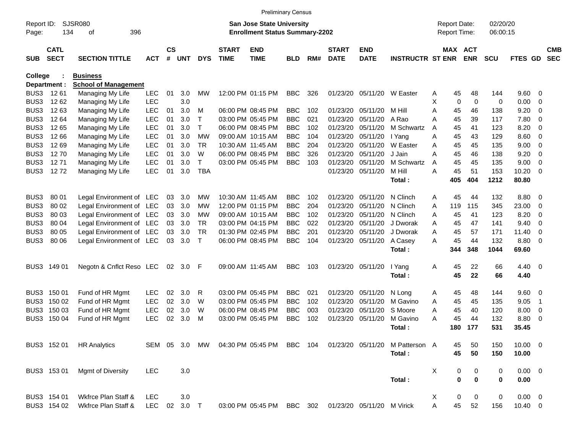|                     |                            |                             |            |                    |            |             |                             |                                                                           | <b>Preliminary Census</b> |     |                             |                            |                         |   |                                     |             |                      |              |                         |                          |
|---------------------|----------------------------|-----------------------------|------------|--------------------|------------|-------------|-----------------------------|---------------------------------------------------------------------------|---------------------------|-----|-----------------------------|----------------------------|-------------------------|---|-------------------------------------|-------------|----------------------|--------------|-------------------------|--------------------------|
| Report ID:<br>Page: | 134                        | <b>SJSR080</b><br>396<br>οf |            |                    |            |             |                             | <b>San Jose State University</b><br><b>Enrollment Status Summary-2202</b> |                           |     |                             |                            |                         |   | <b>Report Date:</b><br>Report Time: |             | 02/20/20<br>06:00:15 |              |                         |                          |
| <b>SUB</b>          | <b>CATL</b><br><b>SECT</b> | <b>SECTION TITTLE</b>       | <b>ACT</b> | $\mathsf{cs}$<br># | <b>UNT</b> | <b>DYS</b>  | <b>START</b><br><b>TIME</b> | <b>END</b><br><b>TIME</b>                                                 | <b>BLD</b>                | RM# | <b>START</b><br><b>DATE</b> | <b>END</b><br><b>DATE</b>  | <b>INSTRUCTR ST ENR</b> |   | MAX ACT                             | <b>ENR</b>  | <b>SCU</b>           | FTES GD      |                         | <b>CMB</b><br><b>SEC</b> |
| <b>College</b>      |                            | <b>Business</b>             |            |                    |            |             |                             |                                                                           |                           |     |                             |                            |                         |   |                                     |             |                      |              |                         |                          |
|                     | Department :               | <b>School of Management</b> |            |                    |            |             |                             |                                                                           |                           |     |                             |                            |                         |   |                                     |             |                      |              |                         |                          |
| BUS3                | 12 61                      | Managing My Life            | <b>LEC</b> | 01                 | 3.0        | МW          |                             | 12:00 PM 01:15 PM                                                         | <b>BBC</b>                | 326 | 01/23/20                    | 05/11/20                   | W Easter                | A | 45                                  | 48          | 144                  | 9.60         | - 0                     |                          |
| BUS3                | 12 62                      | Managing My Life            | <b>LEC</b> |                    | 3.0        |             |                             |                                                                           |                           |     |                             |                            |                         | X | $\mathbf 0$                         | $\mathbf 0$ | 0                    | 0.00         | 0                       |                          |
| BUS3                | 1263                       | Managing My Life            | <b>LEC</b> | 01                 | 3.0        | M           |                             | 06:00 PM 08:45 PM                                                         | <b>BBC</b>                | 102 | 01/23/20                    | 05/11/20                   | M Hill                  | Α | 45                                  | 46          | 138                  | 9.20         | 0                       |                          |
| BUS3                | 12 64                      | Managing My Life            | <b>LEC</b> | 01                 | 3.0        | т           |                             | 03:00 PM 05:45 PM                                                         | <b>BBC</b>                | 021 | 01/23/20                    | 05/11/20                   | A Rao                   | Α | 45                                  | 39          | 117                  | 7.80         | 0                       |                          |
| BUS3                | 12 65                      | Managing My Life            | <b>LEC</b> | 01                 | 3.0        | т           |                             | 06:00 PM 08:45 PM                                                         | <b>BBC</b>                | 102 | 01/23/20                    | 05/11/20                   | M Schwartz              | A | 45                                  | 41          | 123                  | 8.20         | 0                       |                          |
| BUS3                | 12 66                      | Managing My Life            | <b>LEC</b> | 01                 | 3.0        | <b>MW</b>   |                             | 09:00 AM 10:15 AM                                                         | <b>BBC</b>                | 104 | 01/23/20                    | 05/11/20                   | I Yang                  | A | 45                                  | 43          | 129                  | 8.60         | $\mathbf 0$             |                          |
| BUS3                | 1269                       | Managing My Life            | <b>LEC</b> | 01                 | 3.0        | <b>TR</b>   |                             | 10:30 AM 11:45 AM                                                         | <b>BBC</b>                | 204 | 01/23/20                    | 05/11/20                   | W Easter                | Α | 45                                  | 45          | 135                  | 9.00         | 0                       |                          |
| BUS3                | 1270                       | Managing My Life            | <b>LEC</b> | 01                 | 3.0        | W           |                             | 06:00 PM 08:45 PM                                                         | <b>BBC</b>                | 326 | 01/23/20                    | 05/11/20                   | J Jain                  | A | 45                                  | 46          | 138                  | 9.20         | 0                       |                          |
| BUS3                | 1271                       | Managing My Life            | <b>LEC</b> | 01                 | 3.0        | $\top$      |                             | 03:00 PM 05:45 PM                                                         | <b>BBC</b>                | 103 | 01/23/20                    | 05/11/20                   | M Schwartz              | A | 45                                  | 45          | 135                  | 9.00         | $\mathbf 0$             |                          |
| BUS3                | 1272                       | Managing My Life            | <b>LEC</b> | 01                 | 3.0        | <b>TBA</b>  |                             |                                                                           |                           |     | 01/23/20                    | 05/11/20                   | M Hill                  | A | 45                                  | 51          | 153                  | 10.20        | - 0                     |                          |
|                     |                            |                             |            |                    |            |             |                             |                                                                           |                           |     |                             |                            | Total:                  |   | 405                                 | 404         | 1212                 | 80.80        |                         |                          |
| BUS3                | 80 01                      | Legal Environment of LEC    |            | 03                 | 3.0        | МW          |                             | 10:30 AM 11:45 AM                                                         | <b>BBC</b>                | 102 | 01/23/20                    | 05/11/20                   | N Clinch                | A | 45                                  | 44          | 132                  | 8.80         | $\overline{\mathbf{0}}$ |                          |
| BUS3                | 80 02                      | Legal Environment of LEC    |            | 03                 | 3.0        | МW          |                             | 12:00 PM 01:15 PM                                                         | <b>BBC</b>                | 204 | 01/23/20                    | 05/11/20                   | N Clinch                | A | 119                                 | 115         | 345                  | 23.00        | 0                       |                          |
| BUS3                | 80 03                      | Legal Environment of LEC    |            | 03                 | 3.0        | МW          |                             | 09:00 AM 10:15 AM                                                         | <b>BBC</b>                | 102 | 01/23/20                    | 05/11/20                   | N Clinch                | A | 45                                  | 41          | 123                  | 8.20         | 0                       |                          |
| BUS3                | 80 04                      | Legal Environment of LEC    |            | 03                 | 3.0        | <b>TR</b>   |                             | 03:00 PM 04:15 PM                                                         | <b>BBC</b>                | 022 | 01/23/20                    | 05/11/20                   | J Dworak                | A | 45                                  | 47          | 141                  | 9.40         | 0                       |                          |
| BUS3                | 80 05                      | Legal Environment of LEC    |            | 03                 | 3.0        | <b>TR</b>   |                             | 01:30 PM 02:45 PM                                                         | <b>BBC</b>                | 201 | 01/23/20                    | 05/11/20                   | J Dworak                | A | 45                                  | 57          | 171                  | 11.40        | 0                       |                          |
| BUS3                | 80 06                      | Legal Environment of LEC    |            | 03                 | 3.0        | $\mathsf T$ |                             | 06:00 PM 08:45 PM                                                         | <b>BBC</b>                | 104 | 01/23/20                    | 05/11/20                   | A Casey                 | A | 45                                  | 44          | 132                  | 8.80         | - 0                     |                          |
|                     |                            |                             |            |                    |            |             |                             |                                                                           |                           |     |                             |                            | Total:                  |   | 344                                 | 348         | 1044                 | 69.60        |                         |                          |
| BUS3                | 149 01                     | Negotn & Cnflct Reso LEC    |            | 02                 | 3.0        | F           |                             | 09:00 AM 11:45 AM                                                         | <b>BBC</b>                | 103 | 01/23/20                    | 05/11/20                   | I Yang                  | Α | 45                                  | 22          | 66                   | 4.40         | - 0                     |                          |
|                     |                            |                             |            |                    |            |             |                             |                                                                           |                           |     |                             |                            | Total:                  |   | 45                                  | 22          | 66                   | 4.40         |                         |                          |
|                     |                            |                             |            |                    |            |             |                             |                                                                           |                           |     |                             |                            |                         |   |                                     |             |                      |              |                         |                          |
| BUS3                | 150 01                     | Fund of HR Mgmt             | <b>LEC</b> | 02                 | 3.0        | R           |                             | 03:00 PM 05:45 PM                                                         | <b>BBC</b>                | 021 | 01/23/20                    | 05/11/20                   | N Long                  | A | 45                                  | 48          | 144                  | 9.60         | $\overline{\mathbf{0}}$ |                          |
| BUS3                | 150 02                     | Fund of HR Mgmt             | <b>LEC</b> | 02                 | 3.0        | W           |                             | 03:00 PM 05:45 PM                                                         | <b>BBC</b>                | 102 | 01/23/20                    | 05/11/20                   | M Gavino                | A | 45                                  | 45          | 135                  | 9.05         | $\overline{\mathbf{1}}$ |                          |
| BUS3                | 150 03                     | Fund of HR Mgmt             | <b>LEC</b> | 02                 | 3.0        | W           |                             | 06:00 PM 08:45 PM                                                         | <b>BBC</b>                | 003 | 01/23/20                    | 05/11/20                   | S Moore                 | A | 45                                  | 40          | 120                  | 8.00         | 0                       |                          |
| BUS3                | 150 04                     | Fund of HR Mgmt             | <b>LEC</b> | 02                 | 3.0        | M           |                             | 03:00 PM 05:45 PM                                                         | <b>BBC</b>                | 102 | 01/23/20                    | 05/11/20                   | M Gavino                | A | 45                                  | 44          | 132                  | 8.80         | 0                       |                          |
|                     |                            |                             |            |                    |            |             |                             |                                                                           |                           |     |                             |                            | Total:                  |   | 180                                 | 177         | 531                  | 35.45        |                         |                          |
|                     | BUS3 152 01                | <b>HR Analytics</b>         | SEM 05     |                    | 3.0        | MW          |                             | 04:30 PM 05:45 PM                                                         | <b>BBC</b>                | 104 |                             | 01/23/20 05/11/20          | M Patterson A           |   | 45                                  | 50          | 150                  | $10.00 \t 0$ |                         |                          |
|                     |                            |                             |            |                    |            |             |                             |                                                                           |                           |     |                             |                            | Total:                  |   | 45                                  | 50          | 150                  | 10.00        |                         |                          |
|                     | BUS3 153 01                | <b>Mgmt of Diversity</b>    | <b>LEC</b> |                    | $3.0\,$    |             |                             |                                                                           |                           |     |                             |                            |                         | X | 0                                   | 0           | 0                    | $0.00 \t 0$  |                         |                          |
|                     |                            |                             |            |                    |            |             |                             |                                                                           |                           |     |                             |                            | Total:                  |   | $\mathbf 0$                         | $\bf{0}$    | 0                    | 0.00         |                         |                          |
|                     | BUS3 154 01                | Wkfrce Plan Staff &         | LEC        |                    | 3.0        |             |                             |                                                                           |                           |     |                             |                            |                         | X | 0                                   | 0           | 0                    | $0.00 \t 0$  |                         |                          |
|                     | BUS3 154 02                | Wkfrce Plan Staff &         | LEC        |                    | 02 3.0 T   |             |                             | 03:00 PM 05:45 PM BBC 302                                                 |                           |     |                             | 01/23/20 05/11/20 M Virick |                         | Α | 45                                  | 52          | 156                  | 10.40 0      |                         |                          |
|                     |                            |                             |            |                    |            |             |                             |                                                                           |                           |     |                             |                            |                         |   |                                     |             |                      |              |                         |                          |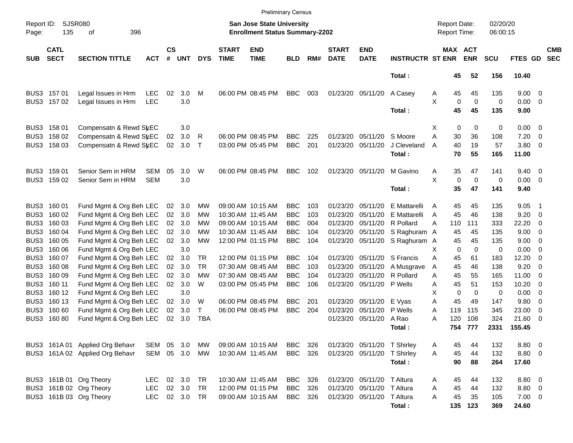|                     |                            |                                                    |            |                |            |              |                             | <b>Preliminary Census</b>                                          |            |     |                             |                             |                         |                                     |             |                       |                      |                 |                                            |                          |
|---------------------|----------------------------|----------------------------------------------------|------------|----------------|------------|--------------|-----------------------------|--------------------------------------------------------------------|------------|-----|-----------------------------|-----------------------------|-------------------------|-------------------------------------|-------------|-----------------------|----------------------|-----------------|--------------------------------------------|--------------------------|
| Report ID:<br>Page: | 135                        | SJSR080<br>396<br>οf                               |            |                |            |              |                             | San Jose State University<br><b>Enrollment Status Summary-2202</b> |            |     |                             |                             |                         | <b>Report Date:</b><br>Report Time: |             |                       | 02/20/20<br>06:00:15 |                 |                                            |                          |
| <b>SUB</b>          | <b>CATL</b><br><b>SECT</b> | <b>SECTION TITTLE</b>                              | <b>ACT</b> | <b>CS</b><br># | <b>UNT</b> | <b>DYS</b>   | <b>START</b><br><b>TIME</b> | <b>END</b><br><b>TIME</b>                                          | <b>BLD</b> | RM# | <b>START</b><br><b>DATE</b> | <b>END</b><br><b>DATE</b>   | <b>INSTRUCTR ST ENR</b> |                                     |             | MAX ACT<br><b>ENR</b> | <b>SCU</b>           | FTES GD         |                                            | <b>CMB</b><br><b>SEC</b> |
|                     |                            |                                                    |            |                |            |              |                             |                                                                    |            |     |                             |                             | Total:                  |                                     | 45          | 52                    | 156                  | 10.40           |                                            |                          |
|                     | BUS3 157 01                | Legal Issues in Hrm                                | <b>LEC</b> | 02             | 3.0        | М            |                             | 06:00 PM 08:45 PM                                                  | <b>BBC</b> | 003 | 01/23/20 05/11/20           |                             | A Casey                 | A                                   | 45          | 45                    | 135                  | $9.00 \t 0$     |                                            |                          |
|                     | BUS3 157 02                | Legal Issues in Hrm                                | <b>LEC</b> |                | 3.0        |              |                             |                                                                    |            |     |                             |                             |                         | X                                   | $\mathbf 0$ | $\mathbf 0$           | 0                    | $0.00 \t 0$     |                                            |                          |
|                     |                            |                                                    |            |                |            |              |                             |                                                                    |            |     |                             |                             | Total:                  |                                     | 45          | 45                    | 135                  | 9.00            |                                            |                          |
|                     | BUS3 158 01                | Compensatn & Rewd SyEC                             |            |                | 3.0        |              |                             |                                                                    |            |     |                             |                             |                         | X                                   | 0           | 0                     | 0                    | $0.00 \t 0$     |                                            |                          |
| BUS3                | 158 02                     | Compensatn & Rewd StEC                             |            | 02             | 3.0        | R            |                             | 06:00 PM 08:45 PM                                                  | <b>BBC</b> | 225 | 01/23/20                    | 05/11/20                    | S Moore                 | A                                   | 30          | 36                    | 108                  | 7.20            | $\overline{\phantom{0}}$                   |                          |
|                     | BUS3 158 03                | Compensatn & Rewd StEC                             |            | 02             | 3.0        | $\mathsf{T}$ |                             | 03:00 PM 05:45 PM                                                  | <b>BBC</b> | 201 | 01/23/20 05/11/20           |                             | J Cleveland<br>Total:   | A                                   | 40<br>70    | 19<br>55              | 57<br>165            | 3.80 0<br>11.00 |                                            |                          |
|                     | BUS3 159 01                | Senior Sem in HRM                                  | <b>SEM</b> | 05             | 3.0        | W            |                             | 06:00 PM 08:45 PM                                                  | <b>BBC</b> | 102 | 01/23/20 05/11/20           |                             | M Gavino                | A                                   | 35          | 47                    | 141                  | $9.40 \quad 0$  |                                            |                          |
|                     | BUS3 159 02                | Senior Sem in HRM                                  | <b>SEM</b> |                | 3.0        |              |                             |                                                                    |            |     |                             |                             |                         | X                                   | $\mathbf 0$ | $\mathbf 0$           | 0                    | $0.00 \t 0$     |                                            |                          |
|                     |                            |                                                    |            |                |            |              |                             |                                                                    |            |     |                             |                             | Total:                  |                                     | 35          | 47                    | 141                  | 9.40            |                                            |                          |
|                     | BUS3 160 01                | Fund Mgmt & Org Beh LEC                            |            | 02             | 3.0        | MW           |                             | 09:00 AM 10:15 AM                                                  | <b>BBC</b> | 103 | 01/23/20                    | 05/11/20                    | E Mattarelli            | A                                   | 45          | 45                    | 135                  | 9.05            | - 1                                        |                          |
| BUS3                | 160 02                     | Fund Mgmt & Org Beh LEC                            |            | 02             | 3.0        | MW           |                             | 10:30 AM 11:45 AM                                                  | <b>BBC</b> | 103 | 01/23/20                    | 05/11/20                    | E Mattarelli            | A                                   | 45          | 46                    | 138                  | 9.20            | $\overline{\mathbf{0}}$                    |                          |
| BUS3                | 160 03                     | Fund Mgmt & Org Beh LEC                            |            | 02             | 3.0        | MW           |                             | 09:00 AM 10:15 AM                                                  | <b>BBC</b> | 004 | 01/23/20                    | 05/11/20                    | R Pollard               | А                                   | 110         | 111                   | 333                  | 22.20           | 0                                          |                          |
|                     | BUS3 160 04                | Fund Mgmt & Org Beh LEC                            |            | 02             | 3.0        | MW           |                             | 10:30 AM 11:45 AM                                                  | <b>BBC</b> | 104 | 01/23/20                    | 05/11/20                    | S Raghuram A            |                                     | 45          | 45                    | 135                  | 9.00            | - 0                                        |                          |
| BUS3<br>BUS3        | 160 05<br>160 06           | Fund Mgmt & Org Beh LEC                            |            | 02             | 3.0<br>3.0 | MW           |                             | 12:00 PM 01:15 PM                                                  | <b>BBC</b> | 104 |                             | 01/23/20 05/11/20           | S Raghuram A            | Х                                   | 45<br>0     | 45<br>$\mathbf 0$     | 135<br>0             | 9.00<br>0.00    | $\overline{\phantom{0}}$<br>$\overline{0}$ |                          |
| BUS3                | 160 07                     | Fund Mgmt & Org Beh LEC<br>Fund Mgmt & Org Beh LEC |            | 02             | 3.0        | TR           |                             | 12:00 PM 01:15 PM                                                  | <b>BBC</b> | 104 | 01/23/20                    | 05/11/20                    | S Francis               | Α                                   | 45          | 61                    | 183                  | 12.20           | $\overline{0}$                             |                          |
| BUS3                | 160 08                     | Fund Mgmt & Org Beh LEC                            |            | 02             | 3.0        | <b>TR</b>    |                             | 07:30 AM 08:45 AM                                                  | <b>BBC</b> | 103 | 01/23/20                    | 05/11/20                    | A Musgrave              | A                                   | 45          | 46                    | 138                  | 9.20            | $\overline{0}$                             |                          |
|                     | BUS3 160 09                | Fund Mgmt & Org Beh LEC                            |            | 02             | 3.0        | MW           |                             | 07:30 AM 08:45 AM                                                  | <b>BBC</b> | 104 | 01/23/20                    | 05/11/20                    | R Pollard               | A                                   | 45          | 55                    | 165                  | 11.00           | $\overline{0}$                             |                          |
|                     | BUS3 160 11                | Fund Mgmt & Org Beh LEC                            |            | 02             | 3.0        | W            |                             | 03:00 PM 05:45 PM                                                  | <b>BBC</b> | 106 |                             | 01/23/20 05/11/20           | P Wells                 | Α                                   | 45          | 51                    | 153                  | 10.20           | $\overline{0}$                             |                          |
|                     | BUS3 160 12                | Fund Mgmt & Org Beh LEC                            |            |                | 3.0        |              |                             |                                                                    |            |     |                             |                             |                         | X                                   | 0           | $\mathbf 0$           | 0                    | 0.00            | - 0                                        |                          |
|                     | BUS3 160 13                | Fund Mgmt & Org Beh LEC                            |            | 02             | 3.0        | W            |                             | 06:00 PM 08:45 PM                                                  | <b>BBC</b> | 201 |                             | 01/23/20 05/11/20           | E Vyas                  | A                                   | 45          | 49                    | 147                  | 9.80            | 0                                          |                          |
|                     | BUS3 160 60                | Fund Mgmt & Org Beh LEC                            |            | 02             | 3.0        | T            |                             | 06:00 PM 08:45 PM                                                  | <b>BBC</b> | 204 | 01/23/20                    | 05/11/20                    | P Wells                 | A                                   | 119         | 115                   | 345                  | 23.00           | 0                                          |                          |
| BUS3                | 16080                      | Fund Mgmt & Org Beh LEC                            |            | 02             | 3.0        | <b>TBA</b>   |                             |                                                                    |            |     |                             | 01/23/20 05/11/20           | A Rao                   | А                                   | 120         | 108                   | 324                  | 21.60           | - 0                                        |                          |
|                     |                            |                                                    |            |                |            |              |                             |                                                                    |            |     |                             |                             | Total:                  |                                     | 754         | 777                   | 2331                 | 155.45          |                                            |                          |
|                     |                            | BUS3 161A 01 Applied Org Behavr                    | SEM        |                | 05 3.0     | МW           |                             | 09:00 AM 10:15 AM                                                  | BBC        | 326 |                             | 01/23/20 05/11/20 T Shirley |                         | A                                   | 45          | 44                    | 132                  | 8.80 0          |                                            |                          |
|                     |                            | BUS3 161A 02 Applied Org Behavr                    | SEM        |                | 05 3.0     | МW           |                             | 10:30 AM 11:45 AM                                                  | BBC        | 326 |                             | 01/23/20 05/11/20 T Shirley |                         | A                                   | 45          | 44                    | 132                  | 8.80 0          |                                            |                          |
|                     |                            |                                                    |            |                |            |              |                             |                                                                    |            |     |                             |                             | Total:                  |                                     | 90          | 88                    | 264                  | 17.60           |                                            |                          |
|                     |                            | BUS3 161B 01 Org Theory                            | <b>LEC</b> |                | 02 3.0 TR  |              |                             | 10:30 AM 11:45 AM                                                  | BBC        | 326 |                             | 01/23/20 05/11/20           | T Altura                | Α                                   | 45          | 44                    | 132                  | 8.80 0          |                                            |                          |
|                     |                            | BUS3 161B 02 Org Theory                            | <b>LEC</b> |                | 02 3.0     | <b>TR</b>    |                             | 12:00 PM 01:15 PM                                                  | <b>BBC</b> | 326 |                             | 01/23/20 05/11/20 T Altura  |                         | Α                                   | 45          | 44                    | 132                  | 8.80 0          |                                            |                          |
|                     |                            | BUS3 161B 03 Org Theory                            | <b>LEC</b> |                | 02 3.0 TR  |              |                             | 09:00 AM 10:15 AM                                                  | <b>BBC</b> | 326 |                             | 01/23/20 05/11/20 T Altura  |                         | A                                   | 45          | 35                    | 105                  | $7.00 \t 0$     |                                            |                          |
|                     |                            |                                                    |            |                |            |              |                             |                                                                    |            |     |                             |                             | Total:                  |                                     |             | 135 123               | 369                  | 24.60           |                                            |                          |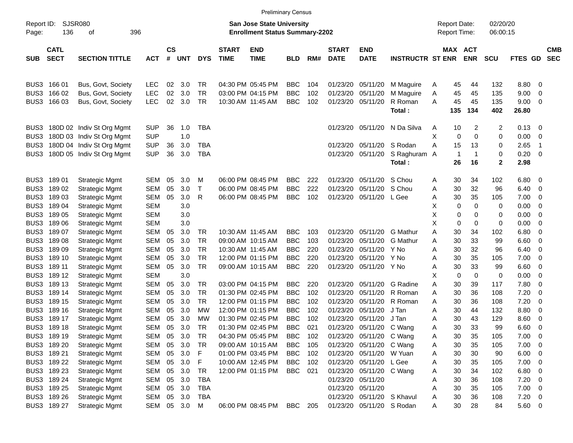| Report ID:<br>Page: | 136                        | SJSR080<br>396<br>οf      |            |                |            |              |                             | <b>San Jose State University</b><br><b>Enrollment Status Summary-2202</b> |            |     |                             |                            |                         | <b>Report Date:</b><br><b>Report Time:</b> |                |                       | 02/20/20<br>06:00:15 |               |                          |                          |
|---------------------|----------------------------|---------------------------|------------|----------------|------------|--------------|-----------------------------|---------------------------------------------------------------------------|------------|-----|-----------------------------|----------------------------|-------------------------|--------------------------------------------|----------------|-----------------------|----------------------|---------------|--------------------------|--------------------------|
| <b>SUB</b>          | <b>CATL</b><br><b>SECT</b> | <b>SECTION TITTLE</b>     | <b>ACT</b> | <b>CS</b><br># | <b>UNT</b> | <b>DYS</b>   | <b>START</b><br><b>TIME</b> | <b>END</b><br><b>TIME</b>                                                 | <b>BLD</b> | RM# | <b>START</b><br><b>DATE</b> | <b>END</b><br><b>DATE</b>  | <b>INSTRUCTR ST ENR</b> |                                            |                | MAX ACT<br><b>ENR</b> | <b>SCU</b>           | FTES GD       |                          | <b>CMB</b><br><b>SEC</b> |
| BUS3                | 166 01                     | Bus, Govt, Society        | <b>LEC</b> | 02             | 3.0        | TR           |                             | 04:30 PM 05:45 PM                                                         | <b>BBC</b> | 104 | 01/23/20                    | 05/11/20                   | M Maguire               | A                                          | 45             | 44                    | 132                  | 8.80          | - 0                      |                          |
| BUS3                | 166 02                     | Bus, Govt, Society        | <b>LEC</b> | 02             | 3.0        | TR           |                             | 03:00 PM 04:15 PM                                                         | <b>BBC</b> | 102 | 01/23/20                    | 05/11/20                   | M Maguire               | Α                                          | 45             | 45                    | 135                  | 9.00          | 0                        |                          |
| BUS3                | 16603                      | Bus, Govt, Society        | <b>LEC</b> | 02             | 3.0        | TR           |                             | 10:30 AM 11:45 AM                                                         | <b>BBC</b> | 102 | 01/23/20                    | 05/11/20                   | R Roman<br>Total:       | Α                                          | 45<br>135      | 45<br>134             | 135<br>402           | 9.00<br>26.80 | 0                        |                          |
| BUS3                |                            | 180D 02 Indiv St Org Mgmt | <b>SUP</b> | 36             | 1.0        | <b>TBA</b>   |                             |                                                                           |            |     | 01/23/20                    | 05/11/20                   | N Da Silva              | A                                          | 10             | 2                     | 2                    | 0.13          | $\overline{\mathbf{0}}$  |                          |
| BUS3                |                            | 180D 03 Indiv St Org Mgmt | <b>SUP</b> |                | 1.0        |              |                             |                                                                           |            |     |                             |                            |                         | X                                          | 0              | $\Omega$              | 0                    | 0.00          | 0                        |                          |
| BUS3                |                            | 180D 04 Indiv St Org Mgmt | <b>SUP</b> | 36             | 3.0        | TBA          |                             |                                                                           |            |     | 01/23/20                    | 05/11/20                   | S Rodan                 | Α                                          | 15             | 13                    | 0                    | 2.65          | -1                       |                          |
| BUS3                |                            | 180D 05 Indiv St Org Mgmt | <b>SUP</b> | 36             | 3.0        | <b>TBA</b>   |                             |                                                                           |            |     | 01/23/20                    | 05/11/20                   | S Raghuram              | A                                          | $\overline{1}$ | -1                    | 0                    | 0.20          | 0                        |                          |
|                     |                            |                           |            |                |            |              |                             |                                                                           |            |     |                             |                            | Total:                  |                                            | 26             | 16                    | 2                    | 2.98          |                          |                          |
| BUS3                | 18901                      | <b>Strategic Mgmt</b>     | SEM        | 05             | 3.0        | М            |                             | 06:00 PM 08:45 PM                                                         | <b>BBC</b> | 222 | 01/23/20                    | 05/11/20                   | S Chou                  | A                                          | 30             | 34                    | 102                  | 6.80          | - 0                      |                          |
| BUS3                | 18902                      | <b>Strategic Mgmt</b>     | <b>SEM</b> | 05             | 3.0        | $\mathsf{T}$ |                             | 06:00 PM 08:45 PM                                                         | <b>BBC</b> | 222 | 01/23/20                    | 05/11/20                   | S Chou                  | Α                                          | 30             | 32                    | 96                   | 6.40          | 0                        |                          |
| BUS3                | 18903                      | <b>Strategic Mgmt</b>     | SEM        | 05             | 3.0        | R            |                             | 06:00 PM 08:45 PM                                                         | <b>BBC</b> | 102 | 01/23/20                    | 05/11/20                   | L Gee                   | Α                                          | 30             | 35                    | 105                  | 7.00          | 0                        |                          |
| BUS3                | 18904                      | <b>Strategic Mgmt</b>     | <b>SEM</b> |                | 3.0        |              |                             |                                                                           |            |     |                             |                            |                         | х                                          | 0              | 0                     | 0                    | 0.00          | 0                        |                          |
| BUS3                | 18905                      | <b>Strategic Mgmt</b>     | <b>SEM</b> |                | 3.0        |              |                             |                                                                           |            |     |                             |                            |                         | Х                                          | 0              | 0                     | 0                    | 0.00          | 0                        |                          |
| BUS3                | 18906                      | <b>Strategic Mgmt</b>     | <b>SEM</b> |                | 3.0        |              |                             |                                                                           |            |     |                             |                            |                         | X                                          | 0              | 0                     | 0                    | 0.00          | 0                        |                          |
| BUS3                | 18907                      | <b>Strategic Mgmt</b>     | SEM        | 05             | 3.0        | TR           |                             | 10:30 AM 11:45 AM                                                         | <b>BBC</b> | 103 | 01/23/20                    | 05/11/20                   | G Mathur                | Α                                          | 30             | 34                    | 102                  | 6.80          | 0                        |                          |
| BUS3                | 18908                      | <b>Strategic Mgmt</b>     | SEM        | 05             | 3.0        | TR           |                             | 09:00 AM 10:15 AM                                                         | <b>BBC</b> | 103 | 01/23/20                    | 05/11/20                   | <b>G</b> Mathur         | Α                                          | 30             | 33                    | 99                   | 6.60          | 0                        |                          |
| BUS3                | 18909                      | <b>Strategic Mgmt</b>     | SEM        | 05             | 3.0        | TR           |                             | 10:30 AM 11:45 AM                                                         | <b>BBC</b> | 220 | 01/23/20                    | 05/11/20                   | Y No                    | Α                                          | 30             | 32                    | 96                   | 6.40          | 0                        |                          |
| BUS3                | 189 10                     | <b>Strategic Mgmt</b>     | SEM        | 05             | 3.0        | TR           |                             | 12:00 PM 01:15 PM                                                         | <b>BBC</b> | 220 | 01/23/20                    | 05/11/20                   | Y No                    | Α                                          | 30             | 35                    | 105                  | 7.00          | 0                        |                          |
| BUS3                | 189 11                     | <b>Strategic Mgmt</b>     | SEM        | 05             | 3.0        | TR           |                             | 09:00 AM 10:15 AM                                                         | <b>BBC</b> | 220 | 01/23/20                    | 05/11/20                   | Y No                    | Α                                          | 30             | 33                    | 99                   | 6.60          | 0                        |                          |
| BUS3                | 189 12                     | <b>Strategic Mgmt</b>     | <b>SEM</b> |                | 3.0        |              |                             |                                                                           |            |     |                             |                            |                         | х                                          | 0              | 0                     | 0                    | 0.00          | 0                        |                          |
| BUS3                | 189 13                     | <b>Strategic Mgmt</b>     | SEM        | 05             | 3.0        | TR           |                             | 03:00 PM 04:15 PM                                                         | <b>BBC</b> | 220 | 01/23/20                    | 05/11/20                   | G Radine                | Α                                          | 30             | 39                    | 117                  | 7.80          | 0                        |                          |
| BUS3                | 189 14                     | <b>Strategic Mgmt</b>     | SEM        | 05             | 3.0        | TR           |                             | 01:30 PM 02:45 PM                                                         | <b>BBC</b> | 102 | 01/23/20                    | 05/11/20                   | R Roman                 | Α                                          | 30             | 36                    | 108                  | 7.20          | 0                        |                          |
| BUS3                | 189 15                     | <b>Strategic Mgmt</b>     | SEM        | 05             | 3.0        | TR           |                             | 12:00 PM 01:15 PM                                                         | <b>BBC</b> | 102 | 01/23/20                    | 05/11/20                   | R Roman                 | Α                                          | 30             | 36                    | 108                  | 7.20          | 0                        |                          |
| BUS3                | 189 16                     | <b>Strategic Mgmt</b>     | SEM        | 05             | 3.0        | мw           |                             | 12:00 PM 01:15 PM                                                         | <b>BBC</b> | 102 | 01/23/20                    | 05/11/20                   | J Tan                   | Α                                          | 30             | 44                    | 132                  | 8.80          | 0                        |                          |
| BUS3                | 189 17                     | <b>Strategic Mgmt</b>     | SEM        | 05             | 3.0        | МW           |                             | 01:30 PM 02:45 PM                                                         | <b>BBC</b> | 102 | 01/23/20                    | 05/11/20                   | J Tan                   | Α                                          | 30             | 43                    | 129                  | 8.60          | 0                        |                          |
| BUS3                | 189 18                     | <b>Strategic Mgmt</b>     | <b>SEM</b> | 05             | 3.0        | TR           |                             | 01:30 PM 02:45 PM                                                         | <b>BBC</b> | 021 | 01/23/20                    | 05/11/20                   | C Wang                  | Α                                          | 30             | 33                    | 99                   | 6.60          | 0                        |                          |
| BUS3                | 189 19                     | <b>Strategic Mgmt</b>     | SEM        | 05             | 3.0        | TR           |                             | 04:30 PM 05:45 PM                                                         | <b>BBC</b> | 102 | 01/23/20                    | 05/11/20                   | C Wang                  | A                                          | 30             | 35                    | 105                  | 7.00          | - 0                      |                          |
|                     | BUS3 189 20                | <b>Strategic Mgmt</b>     | SEM        | 05             | 3.0        | TR           |                             | 09:00 AM 10:15 AM                                                         | <b>BBC</b> | 105 |                             | 01/23/20 05/11/20 C Wang   |                         | Α                                          | 30             | 35                    | 105                  | 7.00          | $\overline{\phantom{0}}$ |                          |
|                     | BUS3 189 21                | <b>Strategic Mgmt</b>     | SEM        | 05             | 3.0        | F            |                             | 01:00 PM 03:45 PM                                                         | <b>BBC</b> | 102 |                             | 01/23/20 05/11/20 W Yuan   |                         | Α                                          | 30             | 30                    | 90                   | $6.00 \t 0$   |                          |                          |
|                     | BUS3 189 22                | <b>Strategic Mgmt</b>     | SEM        | 05             | 3.0        | F            |                             | 10:00 AM 12:45 PM                                                         | <b>BBC</b> | 102 |                             | 01/23/20 05/11/20 L Gee    |                         | Α                                          | 30             | 35                    | 105                  | $7.00 \t 0$   |                          |                          |
|                     | BUS3 189 23                | <b>Strategic Mgmt</b>     | SEM        | 05             | 3.0        | <b>TR</b>    |                             | 12:00 PM 01:15 PM                                                         | BBC        | 021 |                             | 01/23/20 05/11/20 C Wang   |                         | Α                                          | 30             | 34                    | 102                  | $6.80$ 0      |                          |                          |
|                     | BUS3 189 24                | <b>Strategic Mgmt</b>     | SEM        | 05             | 3.0        | <b>TBA</b>   |                             |                                                                           |            |     | 01/23/20 05/11/20           |                            |                         | Α                                          | 30             | 36                    | 108                  | $7.20 \t 0$   |                          |                          |
|                     | BUS3 189 25                | <b>Strategic Mgmt</b>     | SEM        | 05             | 3.0        | <b>TBA</b>   |                             |                                                                           |            |     |                             | 01/23/20 05/11/20          |                         | Α                                          | 30             | 35                    | 105                  | $7.00 \t 0$   |                          |                          |
|                     | BUS3 189 26                | <b>Strategic Mgmt</b>     | SEM        | 05             | 3.0        | <b>TBA</b>   |                             |                                                                           |            |     |                             | 01/23/20 05/11/20 S Khavul |                         | A                                          | 30             | 36                    | 108                  | $7.20 \t 0$   |                          |                          |
|                     | BUS3 189 27                | <b>Strategic Mgmt</b>     |            |                | SEM 05 3.0 | M            |                             | 06:00 PM 08:45 PM                                                         | BBC        | 205 |                             | 01/23/20 05/11/20 S Rodan  |                         | Α                                          | 30             | 28                    | 84                   | 5.60 0        |                          |                          |

Preliminary Census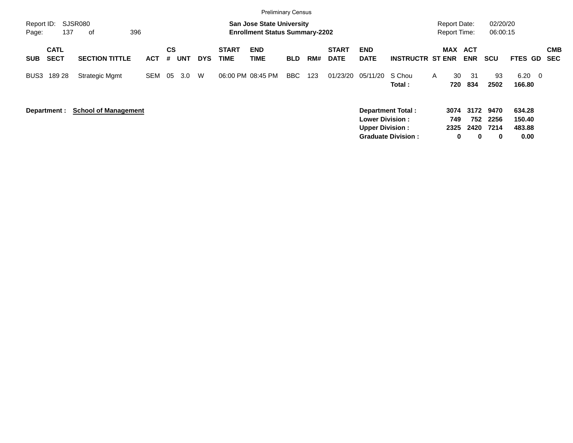|                     |              |                             |            |     |            |            |                   | <b>Preliminary Census</b>                                                 |            |     |              |                        |                          |   |                                            |            |                      |                |                          |
|---------------------|--------------|-----------------------------|------------|-----|------------|------------|-------------------|---------------------------------------------------------------------------|------------|-----|--------------|------------------------|--------------------------|---|--------------------------------------------|------------|----------------------|----------------|--------------------------|
| Report ID:<br>Page: | 137          | <b>SJSR080</b><br>396<br>оf |            |     |            |            |                   | <b>San Jose State University</b><br><b>Enrollment Status Summary-2202</b> |            |     |              |                        |                          |   | <b>Report Date:</b><br><b>Report Time:</b> |            | 02/20/20<br>06:00:15 |                |                          |
|                     |              |                             |            |     |            |            |                   |                                                                           |            |     |              |                        |                          |   |                                            |            |                      |                |                          |
|                     | <b>CATL</b>  |                             |            | CS  |            |            | <b>START</b>      | <b>END</b>                                                                |            |     | <b>START</b> | <b>END</b>             |                          |   | <b>MAX</b>                                 | ACT        |                      |                | <b>CMB</b>               |
| <b>SUB</b>          | <b>SECT</b>  | <b>SECTION TITTLE</b>       | <b>ACT</b> | #   | <b>UNT</b> | <b>DYS</b> | <b>TIME</b>       | <b>TIME</b>                                                               | <b>BLD</b> | RM# | <b>DATE</b>  | <b>DATE</b>            | <b>INSTRUCTR ST ENR</b>  |   |                                            | <b>ENR</b> | <b>SCU</b>           | <b>FTES GD</b> | <b>SEC</b>               |
| BUS3                | 189 28       | <b>Strategic Mgmt</b>       | <b>SEM</b> | -05 | 3.0        | W          | 06:00 PM 08:45 PM |                                                                           | BBC        | 123 | 01/23/20     | 05/11/20               | S Chou                   | A | 30                                         | 31         | 93                   | 6.20           | $\overline{\phantom{0}}$ |
|                     |              |                             |            |     |            |            |                   |                                                                           |            |     |              |                        | Total :                  |   | 720                                        | 834        | 2502                 | 166.80         |                          |
|                     |              |                             |            |     |            |            |                   |                                                                           |            |     |              |                        |                          |   |                                            |            |                      |                |                          |
|                     | Department : | <b>School of Management</b> |            |     |            |            |                   |                                                                           |            |     |              |                        | <b>Department Total:</b> |   | 3074                                       |            | 3172 9470            | 634.28         |                          |
|                     |              |                             |            |     |            |            |                   |                                                                           |            |     |              | <b>Lower Division:</b> |                          |   | 749                                        | 752        | 2256                 | 150.40         |                          |
|                     |              |                             |            |     |            |            |                   |                                                                           |            |     |              | <b>Upper Division:</b> |                          |   | 2325                                       | 2420       | 7214                 | 483.88         |                          |

**Graduate Division : 0 0 0 0.00**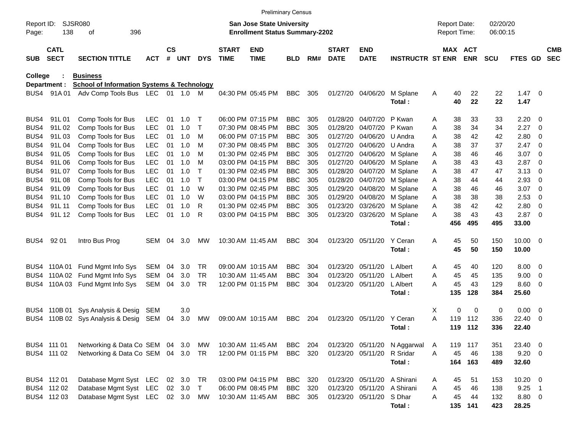|                     |                            |                                                       |            |                    |        |            |                             | <b>Preliminary Census</b>                                                 |            |     |                             |                           |                         |   |                                     |            |                      |                |                          |                          |
|---------------------|----------------------------|-------------------------------------------------------|------------|--------------------|--------|------------|-----------------------------|---------------------------------------------------------------------------|------------|-----|-----------------------------|---------------------------|-------------------------|---|-------------------------------------|------------|----------------------|----------------|--------------------------|--------------------------|
| Report ID:<br>Page: | 138                        | <b>SJSR080</b><br>396<br>οf                           |            |                    |        |            |                             | <b>San Jose State University</b><br><b>Enrollment Status Summary-2202</b> |            |     |                             |                           |                         |   | <b>Report Date:</b><br>Report Time: |            | 02/20/20<br>06:00:15 |                |                          |                          |
| <b>SUB</b>          | <b>CATL</b><br><b>SECT</b> | <b>SECTION TITTLE</b>                                 | <b>ACT</b> | $\mathsf{cs}$<br># | UNT    | <b>DYS</b> | <b>START</b><br><b>TIME</b> | <b>END</b><br><b>TIME</b>                                                 | <b>BLD</b> | RM# | <b>START</b><br><b>DATE</b> | <b>END</b><br><b>DATE</b> | <b>INSTRUCTR ST ENR</b> |   | MAX ACT                             | <b>ENR</b> | <b>SCU</b>           | <b>FTES GD</b> |                          | <b>CMB</b><br><b>SEC</b> |
| <b>College</b>      |                            | <b>Business</b>                                       |            |                    |        |            |                             |                                                                           |            |     |                             |                           |                         |   |                                     |            |                      |                |                          |                          |
|                     | Department :               | <b>School of Information Systems &amp; Technology</b> |            |                    |        |            |                             |                                                                           |            |     |                             |                           |                         |   |                                     |            |                      |                |                          |                          |
| BUS4                | 91A 01                     | Adv Comp Tools Bus LEC                                |            |                    | 01 1.0 | M          |                             | 04:30 PM 05:45 PM                                                         | <b>BBC</b> | 305 |                             | 01/27/20 04/06/20         | M Splane<br>Total:      | A | 40<br>40                            | 22<br>22   | 22<br>22             | 1.47<br>1.47   | $\overline{\phantom{0}}$ |                          |
| BUS4                | 91L01                      | Comp Tools for Bus                                    | <b>LEC</b> | 01                 | 1.0    | Т          |                             | 06:00 PM 07:15 PM                                                         | <b>BBC</b> | 305 | 01/28/20                    | 04/07/20                  | P Kwan                  | Α | 38                                  | 33         | 33                   | 2.20           | - 0                      |                          |
| BUS4                | 91L02                      | Comp Tools for Bus                                    | <b>LEC</b> | 01                 | 1.0    | Т          |                             | 07:30 PM 08:45 PM                                                         | <b>BBC</b> | 305 | 01/28/20                    | 04/07/20                  | P Kwan                  | Α | 38                                  | 34         | 34                   | 2.27           | - 0                      |                          |
| BUS4                | 91L03                      | Comp Tools for Bus                                    | <b>LEC</b> | 01                 | 1.0    | M          |                             | 06:00 PM 07:15 PM                                                         | <b>BBC</b> | 305 | 01/27/20                    | 04/06/20                  | U Andra                 | Α | 38                                  | 42         | 42                   | 2.80           | - 0                      |                          |
| BUS4                | 91L04                      | Comp Tools for Bus                                    | <b>LEC</b> | 01                 | 1.0    | M          |                             | 07:30 PM 08:45 PM                                                         | <b>BBC</b> | 305 | 01/27/20                    | 04/06/20                  | U Andra                 | Α | 38                                  | 37         | 37                   | 2.47           | - 0                      |                          |
| BUS4                | 91L05                      | Comp Tools for Bus                                    | <b>LEC</b> | 01                 | 1.0    | M          |                             | 01:30 PM 02:45 PM                                                         | <b>BBC</b> | 305 | 01/27/20                    | 04/06/20                  | M Splane                | Α | 38                                  | 46         | 46                   | 3.07           | - 0                      |                          |
| BUS4                | 91L06                      | Comp Tools for Bus                                    | <b>LEC</b> | 01                 | 1.0    | м          |                             | 03:00 PM 04:15 PM                                                         | <b>BBC</b> | 305 | 01/27/20                    | 04/06/20                  | M Splane                | A | 38                                  | 43         | 43                   | 2.87           | - 0                      |                          |
| BUS4                | 91L07                      | Comp Tools for Bus                                    | <b>LEC</b> | 01                 | 1.0    | Т          |                             | 01:30 PM 02:45 PM                                                         | <b>BBC</b> | 305 | 01/28/20                    | 04/07/20                  | M Splane                | Α | 38                                  | 47         | 47                   | 3.13           | 0                        |                          |
| BUS4                | 91L08                      | Comp Tools for Bus                                    | <b>LEC</b> | 01                 | 1.0    | Т          |                             | 03:00 PM 04:15 PM                                                         | <b>BBC</b> | 305 | 01/28/20                    | 04/07/20                  | M Splane                | A | 38                                  | 44         | 44                   | 2.93           | - 0                      |                          |
| BUS4                | 91L09                      | Comp Tools for Bus                                    | <b>LEC</b> | 01                 | 1.0    | W          |                             | 01:30 PM 02:45 PM                                                         | <b>BBC</b> | 305 | 01/29/20                    | 04/08/20                  | M Splane                | A | 38                                  | 46         | 46                   | 3.07           | - 0                      |                          |
| BUS4                | 91L 10                     | Comp Tools for Bus                                    | <b>LEC</b> | 01                 | 1.0    | W          |                             | 03:00 PM 04:15 PM                                                         | <b>BBC</b> | 305 | 01/29/20                    | 04/08/20                  | M Splane                | Α | 38                                  | 38         | 38                   | 2.53           | - 0                      |                          |
| BUS4                | 91L 11                     | Comp Tools for Bus                                    | <b>LEC</b> | 01                 | 1.0    | R          |                             | 01:30 PM 02:45 PM                                                         | <b>BBC</b> | 305 | 01/23/20                    | 03/26/20                  | M Splane                | A | 38                                  | 42         | 42                   | 2.80           | - 0                      |                          |
| BUS4                | 91L 12                     | Comp Tools for Bus                                    | <b>LEC</b> | 01                 | 1.0    | R          |                             | 03:00 PM 04:15 PM                                                         | <b>BBC</b> | 305 | 01/23/20                    | 03/26/20                  | M Splane                | A | 38                                  | 43         | 43                   | 2.87           | - 0                      |                          |
|                     |                            |                                                       |            |                    |        |            |                             |                                                                           |            |     |                             |                           | Total:                  |   | 456                                 | 495        | 495                  | 33.00          |                          |                          |
| BUS4                | 92 01                      | Intro Bus Prog                                        | SEM        | 04                 | 3.0    | МW         |                             | 10:30 AM 11:45 AM                                                         | <b>BBC</b> | 304 |                             | 01/23/20 05/11/20         | Y Ceran                 | A | 45                                  | 50         | 150                  | $10.00 \t 0$   |                          |                          |
|                     |                            |                                                       |            |                    |        |            |                             |                                                                           |            |     |                             |                           | Total:                  |   | 45                                  | 50         | 150                  | 10.00          |                          |                          |
| BUS4                | 110A 01                    | Fund Mgmt Info Sys                                    | SEM        | 04                 | 3.0    | TR.        |                             | 09:00 AM 10:15 AM                                                         | <b>BBC</b> | 304 | 01/23/20                    | 05/11/20                  | L Albert                | A | 45                                  | 40         | 120                  | 8.00           | - 0                      |                          |
| BUS4                | 110A 02                    | Fund Mgmt Info Sys                                    | <b>SEM</b> | 04                 | 3.0    | <b>TR</b>  |                             | 10:30 AM 11:45 AM                                                         | <b>BBC</b> | 304 | 01/23/20                    | 05/11/20                  | L Albert                | Α | 45                                  | 45         | 135                  | 9.00           | - 0                      |                          |
| BUS4                | 110A 03                    | Fund Mgmt Info Sys                                    | <b>SEM</b> | 04                 | 3.0    | <b>TR</b>  |                             | 12:00 PM 01:15 PM                                                         | <b>BBC</b> | 304 | 01/23/20                    | 05/11/20                  | L Albert                | Α | 45                                  | 43         | 129                  | 8.60           | - 0                      |                          |
|                     |                            |                                                       |            |                    |        |            |                             |                                                                           |            |     |                             |                           | Total:                  |   | 135                                 | 128        | 384                  | 25.60          |                          |                          |
| BUS4                |                            | 110B 01 Sys Analysis & Desig                          | SEM        |                    | 3.0    |            |                             |                                                                           |            |     |                             |                           |                         | X | 0                                   | 0          | 0                    | 0.00           | - 0                      |                          |
| BUS4                | 110B 02                    | Sys Analysis & Desig                                  | SEM        | 04                 | 3.0    | MW         |                             | 09:00 AM 10:15 AM                                                         | <b>BBC</b> | 204 | 01/23/20                    | 05/11/20                  | Y Ceran                 | A | 119                                 | 112        | 336                  | 22.40          | - 0                      |                          |
|                     |                            |                                                       |            |                    |        |            |                             |                                                                           |            |     |                             |                           | Total:                  |   | 119                                 | 112        | 336                  | 22.40          |                          |                          |
|                     | BUS4 111 01                | Networking & Data Co SEM 04                           |            |                    | 3.0    | МW         |                             | 10:30 AM 11:45 AM                                                         | BBC        | 204 |                             | 01/23/20 05/11/20         | N Aggarwal              | A | 119                                 | 117        | 351                  | 23.40 0        |                          |                          |
|                     | BUS4 111 02                | Networking & Data Co SEM 04 3.0                       |            |                    |        | <b>TR</b>  |                             | 12:00 PM 01:15 PM                                                         | BBC 320    |     |                             | 01/23/20 05/11/20         | R Sridar                | A | 45                                  | 46         | 138                  | $9.20 \ 0$     |                          |                          |
|                     |                            |                                                       |            |                    |        |            |                             |                                                                           |            |     |                             |                           | Total:                  |   |                                     | 164 163    | 489                  | 32.60          |                          |                          |
|                     | BUS4 112 01                | Database Mgmt Syst LEC                                |            |                    | 02 3.0 | TR         |                             | 03:00 PM 04:15 PM                                                         | <b>BBC</b> | 320 |                             | 01/23/20 05/11/20         | A Shirani               | A | 45                                  | 51         | 153                  | $10.20 \t 0$   |                          |                          |
|                     | BUS4 112 02                | Database Mgmt Syst LEC                                |            |                    | 02 3.0 | T          |                             | 06:00 PM 08:45 PM                                                         | <b>BBC</b> | 320 |                             | 01/23/20 05/11/20         | A Shirani               | Α | 45                                  | 46         | 138                  | $9.25$ 1       |                          |                          |
|                     | BUS4 112 03                | Database Mgmt Syst LEC 02 3.0                         |            |                    |        | MW         |                             | 10:30 AM 11:45 AM                                                         | <b>BBC</b> | 305 |                             | 01/23/20 05/11/20         | S Dhar                  | A | 45                                  | 44         | 132                  | 8.80 0         |                          |                          |
|                     |                            |                                                       |            |                    |        |            |                             |                                                                           |            |     |                             |                           | Total:                  |   |                                     | 135 141    | 423                  | 28.25          |                          |                          |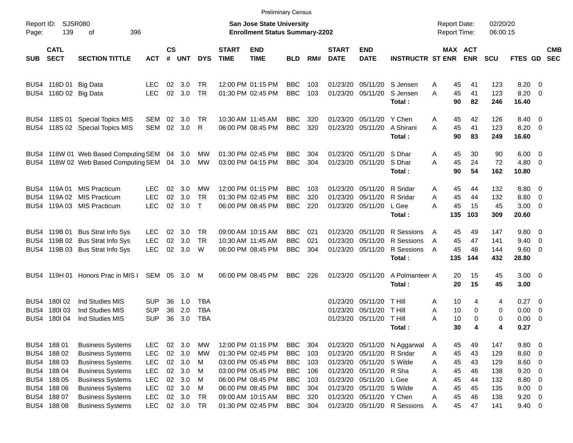|                     |                                                          |                                                                                                          |                                        |                  |                                |                                  |                             |                                                                                  | <b>Preliminary Census</b>                            |                          |                                  |                                                                                    |                                                            |                     |                                              |                          |                                                     |                          |
|---------------------|----------------------------------------------------------|----------------------------------------------------------------------------------------------------------|----------------------------------------|------------------|--------------------------------|----------------------------------|-----------------------------|----------------------------------------------------------------------------------|------------------------------------------------------|--------------------------|----------------------------------|------------------------------------------------------------------------------------|------------------------------------------------------------|---------------------|----------------------------------------------|--------------------------|-----------------------------------------------------|--------------------------|
| Report ID:<br>Page: | 139                                                      | SJSR080<br>396<br>οf                                                                                     |                                        |                  |                                |                                  |                             | <b>San Jose State University</b><br><b>Enrollment Status Summary-2202</b>        |                                                      |                          |                                  |                                                                                    |                                                            | <b>Report Date:</b> | Report Time:                                 | 02/20/20<br>06:00:15     |                                                     |                          |
| <b>SUB</b>          | <b>CATL</b><br><b>SECT</b>                               | <b>SECTION TITTLE</b>                                                                                    | <b>ACT</b>                             | <b>CS</b><br>#   | UNT                            | <b>DYS</b>                       | <b>START</b><br><b>TIME</b> | <b>END</b><br><b>TIME</b>                                                        | <b>BLD</b>                                           | RM#                      | <b>START</b><br><b>DATE</b>      | <b>END</b><br><b>DATE</b>                                                          | <b>INSTRUCTR ST ENR</b>                                    |                     | MAX ACT<br><b>ENR</b>                        | <b>SCU</b>               | FTES GD                                             | <b>CMB</b><br><b>SEC</b> |
|                     | BUS4 118D 01 Big Data<br>BUS4 118D 02 Big Data           |                                                                                                          | LEC.<br><b>LEC</b>                     | 02               | $02 \quad 3.0$<br>3.0          | <b>TR</b><br><b>TR</b>           |                             | 12:00 PM 01:15 PM<br>01:30 PM 02:45 PM                                           | <b>BBC</b><br><b>BBC</b>                             | 103<br>103               | 01/23/20                         | 01/23/20 05/11/20<br>05/11/20                                                      | S Jensen<br>S Jensen<br>Total:                             | A<br>A              | 45<br>41<br>45<br>41<br>90<br>82             | 123<br>123<br>246        | $8.20 \ 0$<br>8.20 0<br>16.40                       |                          |
|                     |                                                          | BUS4 118S 01 Special Topics MIS<br>BUS4 118S 02 Special Topics MIS                                       | SEM<br>SEM                             | 02               | $02 \quad 3.0$<br>3.0          | TR<br>R                          |                             | 10:30 AM 11:45 AM<br>06:00 PM 08:45 PM                                           | <b>BBC</b><br><b>BBC</b>                             | 320<br>320               | 01/23/20<br>01/23/20             | 05/11/20<br>05/11/20                                                               | Y Chen<br>A Shirani<br>Total:                              | A<br>A              | 42<br>45<br>45<br>41<br>90<br>83             | 126<br>123<br>249        | 8.40 0<br>8.20 0<br>16.60                           |                          |
|                     |                                                          | BUS4 118W 01 Web Based Computing SEM 04<br>BUS4 118W 02 Web Based Computing SEM 04 3.0                   |                                        |                  | 3.0                            | МW<br>МW                         |                             | 01:30 PM 02:45 PM<br>03:00 PM 04:15 PM                                           | <b>BBC</b><br><b>BBC</b>                             | 304<br>304               | 01/23/20                         | 05/11/20<br>01/23/20 05/11/20                                                      | S Dhar<br>S Dhar<br>Total:                                 | A<br>A              | 30<br>45<br>45<br>24<br>90<br>54             | 90<br>72<br>162          | $6.00 \quad 0$<br>$4.80$ 0<br>10.80                 |                          |
|                     | BUS4 119A 01                                             | <b>MIS Practicum</b><br>BUS4 119A 02 MIS Practicum<br>BUS4 119A 03 MIS Practicum                         | <b>LEC</b><br><b>LEC</b><br><b>LEC</b> | 02<br>02         | - 3.0<br>3.0<br>02 3.0         | МW<br><b>TR</b><br>$\top$        |                             | 12:00 PM 01:15 PM<br>01:30 PM 02:45 PM<br>06:00 PM 08:45 PM                      | <b>BBC</b><br><b>BBC</b><br><b>BBC</b>               | 103<br>320<br>220        | 01/23/20<br>01/23/20             | 05/11/20<br>05/11/20<br>01/23/20 05/11/20                                          | R Sridar<br>R Sridar<br>L Gee<br>Total:                    | A<br>A<br>Α<br>135  | 45<br>44<br>45<br>44<br>45<br>15<br>103      | 132<br>132<br>45<br>309  | 8.80 0<br>8.80 0<br>$3.00 \ 0$<br>20.60             |                          |
|                     | BUS4 119B 01                                             | <b>Bus Strat Info Sys</b><br>BUS4 119B 02 Bus Strat Info Sys<br>BUS4 119B 03 Bus Strat Info Sys          | <b>LEC</b><br><b>LEC</b><br><b>LEC</b> | 02<br>02<br>02   | 3.0<br>3.0<br>3.0              | TR<br>TR<br>W                    |                             | 09:00 AM 10:15 AM<br>10:30 AM 11:45 AM<br>06:00 PM 08:45 PM                      | <b>BBC</b><br><b>BBC</b><br><b>BBC</b>               | 021<br>021<br>304        | 01/23/20<br>01/23/20             | 05/11/20<br>05/11/20<br>01/23/20 05/11/20                                          | R Sessions<br>R Sessions<br>R Sessions<br>Total:           | A<br>A<br>A<br>135  | 49<br>45<br>45<br>47<br>45<br>48<br>144      | 147<br>141<br>144<br>432 | $9.80 \quad 0$<br>$9.40 \quad 0$<br>9.60 0<br>28.80 |                          |
|                     |                                                          | BUS4 119H 01 Honors Prac in MIS I                                                                        | SEM 05 3.0 M                           |                  |                                |                                  |                             | 06:00 PM 08:45 PM                                                                | <b>BBC</b>                                           | 226                      |                                  | 01/23/20 05/11/20                                                                  | A Polmanteer A<br>Total:                                   |                     | 20<br>15<br>15<br>20                         | 45<br>45                 | $3.00 \ 0$<br>3.00                                  |                          |
| BUS4                | BUS4 180 02<br>BUS4 180 03<br>180I 04                    | Ind Studies MIS<br>Ind Studies MIS<br>Ind Studies MIS                                                    | <b>SUP</b><br><b>SUP</b><br><b>SUP</b> | 36<br>36<br>36   | 1.0<br>2.0<br>3.0              | TBA<br><b>TBA</b><br><b>TBA</b>  |                             |                                                                                  |                                                      |                          | 01/23/20<br>01/23/20<br>01/23/20 | 05/11/20<br>05/11/20<br>05/11/20                                                   | <b>T</b> Hill<br><b>T</b> Hill<br><b>T</b> Hill<br>Total : | A<br>A<br>Α         | 10<br>4<br>10<br>0<br>10<br>0<br>30<br>4     | 4<br>0<br>0<br>4         | $0.27 \t 0$<br>$0.00 \t 0$<br>$0.00 \t 0$<br>0.27   |                          |
|                     | BUS4 188 01<br>BUS4 188 02<br>BUS4 188 03<br>BUS4 188 04 | <b>Business Systems</b><br><b>Business Systems</b><br><b>Business Systems</b><br><b>Business Systems</b> | <b>LEC</b><br><b>LEC</b><br>LEC<br>LEC | $02\,$<br>$02\,$ | 02 3.0<br>3.0<br>02 3.0<br>3.0 | <b>MW</b><br><b>MW</b><br>M<br>M |                             | 12:00 PM 01:15 PM<br>01:30 PM 02:45 PM<br>03:00 PM 05:45 PM<br>03:00 PM 05:45 PM | <b>BBC</b><br><b>BBC</b><br><b>BBC</b><br><b>BBC</b> | 304<br>103<br>103<br>106 |                                  | 01/23/20 05/11/20 R Sridar<br>01/23/20 05/11/20 S Wilde<br>01/23/20 05/11/20 R Sha | 01/23/20 05/11/20 N Aggarwal                               | A<br>Α<br>A<br>Α    | 49<br>45<br>45<br>43<br>45<br>43<br>45<br>46 | 147<br>129<br>129<br>138 | 9.80 0<br>$8.60$ 0<br>8.60 0<br>$9.20 \ 0$          |                          |
|                     | BUS4 188 05<br>BUS4 188 06<br>BUS4 188 07<br>BUS4 188 08 | <b>Business Systems</b><br><b>Business Systems</b><br><b>Business Systems</b><br><b>Business Systems</b> | LEC<br>LEC<br>LEC<br><b>LEC</b>        | 02<br>$02\,$     | 3.0<br>3.0<br>02 3.0<br>02 3.0 | M<br>M<br><b>TR</b><br><b>TR</b> |                             | 06:00 PM 08:45 PM<br>06:00 PM 08:45 PM<br>09:00 AM 10:15 AM<br>01:30 PM 02:45 PM | <b>BBC</b><br><b>BBC</b><br><b>BBC</b><br><b>BBC</b> | 103<br>304<br>320<br>304 | 01/23/20<br>01/23/20             | 01/23/20 05/11/20<br>05/11/20 S Wilde<br>05/11/20 Y Chen                           | L Gee<br>01/23/20 05/11/20 R Sessions                      | Α<br>A<br>A<br>A    | 45<br>44<br>45<br>45<br>45<br>46<br>45<br>47 | 132<br>135<br>138<br>141 | 8.80 0<br>9.00 0<br>$9.20 \ 0$<br>9.40 0            |                          |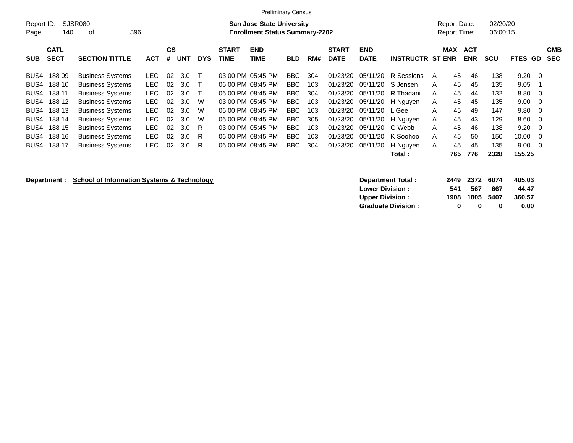|                     |             |                         |            |           |            |            |              | <b>Preliminary Census</b>                                                 |            |     |              |             |                         |   |                                            |                      |                |            |
|---------------------|-------------|-------------------------|------------|-----------|------------|------------|--------------|---------------------------------------------------------------------------|------------|-----|--------------|-------------|-------------------------|---|--------------------------------------------|----------------------|----------------|------------|
| Report ID:<br>Page: | 140         | SJSR080<br>396<br>οf    |            |           |            |            |              | <b>San Jose State University</b><br><b>Enrollment Status Summary-2202</b> |            |     |              |             |                         |   | <b>Report Date:</b><br><b>Report Time:</b> | 02/20/20<br>06:00:15 |                |            |
|                     |             |                         |            |           |            |            |              |                                                                           |            |     |              |             |                         |   |                                            |                      |                |            |
|                     | <b>CATL</b> |                         |            | <b>CS</b> |            |            | <b>START</b> | <b>END</b>                                                                |            |     | <b>START</b> | <b>END</b>  |                         |   | MAX ACT                                    |                      |                | <b>CMB</b> |
| <b>SUB</b>          | <b>SECT</b> | <b>SECTION TITTLE</b>   | <b>ACT</b> | #         | <b>UNT</b> | <b>DYS</b> | <b>TIME</b>  | TIME                                                                      | <b>BLD</b> | RM# | <b>DATE</b>  | <b>DATE</b> | <b>INSTRUCTR ST ENR</b> |   | <b>ENR</b>                                 | <b>SCU</b>           | <b>FTES GD</b> | <b>SEC</b> |
| BUS4                | 18809       | <b>Business Systems</b> | LEC-       | 02        | 3.0        | $\top$     |              | 03:00 PM 05:45 PM                                                         | BBC.       | 304 | 01/23/20     | 05/11/20    | R Sessions              | A | 45<br>46                                   | 138                  | $9.20 \quad 0$ |            |
| BUS4                | 188 10      | <b>Business Systems</b> | LEC .      | 02        | 3.0        | $\top$     |              | 06:00 PM 08:45 PM                                                         | <b>BBC</b> | 103 | 01/23/20     | 05/11/20    | S Jensen                | A | 45<br>45                                   | 135                  | 9.05           |            |
| BUS4                | 188 11      | <b>Business Systems</b> | LEC.       | 02        | 3.0        | $\top$     |              | 06:00 PM 08:45 PM                                                         | BBC        | 304 | 01/23/20     | 05/11/20    | R Thadani               | A | 45<br>44                                   | 132                  | $8.80\quad 0$  |            |
|                     | BUS4 188 12 | <b>Business Systems</b> | LEC.       | 02        | 3.0        | W          |              | 03:00 PM 05:45 PM                                                         | BBC        | 103 | 01/23/20     | 05/11/20    | H Nguyen                | A | 45<br>45                                   | 135                  | $9.00 \quad 0$ |            |
| BUS4                | 188 13      | <b>Business Systems</b> | LEC.       | 02        | 3.0        | W          |              | 06:00 PM 08:45 PM                                                         | <b>BBC</b> | 103 | 01/23/20     | 05/11/20    | L Gee                   | A | 45<br>49                                   | 147                  | $9.80\quad 0$  |            |
| BUS4                | 188 14      | <b>Business Systems</b> | LEC        | 02        | 3.0        | W          |              | 06:00 PM 08:45 PM                                                         | BBC        | 305 | 01/23/20     | 05/11/20    | H Nguyen                | A | 45<br>43                                   | 129                  | $8.60 \quad 0$ |            |
| BUS4                | 188 15      | <b>Business Systems</b> | LEC        | 02        | 3.0        | -R         |              | 03:00 PM 05:45 PM                                                         | BBC        | 103 | 01/23/20     | 05/11/20    | G Webb                  | A | 45<br>46                                   | 138                  | $9.20 \quad 0$ |            |
| BUS4                | 188 16      | <b>Business Systems</b> | LEC .      | 02        | 3.0        | - R        |              | 06:00 PM 08:45 PM                                                         | BBC        | 103 | 01/23/20     | 05/11/20    | K Soohoo                | A | 45<br>50                                   | 150                  | $10.00 \t 0$   |            |
| BUS4                | 188 17      | <b>Business Systems</b> | LEC.       | 02        | 3.0        | R.         |              | 06:00 PM 08:45 PM                                                         | BBC        | 304 | 01/23/20     | 05/11/20    | H Nguyen                | A | 45<br>45                                   | 135                  | $9.00 \quad 0$ |            |
|                     |             |                         |            |           |            |            |              |                                                                           |            |     |              |             | Total :                 |   | 776<br>765                                 | 2328                 | 155.25         |            |

## **Department : School of Information Systems & Technology**

| Department Total:         |      | 2449 2372 6074 |           | 405.03 |
|---------------------------|------|----------------|-----------|--------|
| <b>Lower Division:</b>    | 541  | 567            | 667       | 44.47  |
| <b>Upper Division:</b>    | 1908 |                | 1805 5407 | 360.57 |
| <b>Graduate Division:</b> | o    | $\mathbf{u}$   | o         | 0.00   |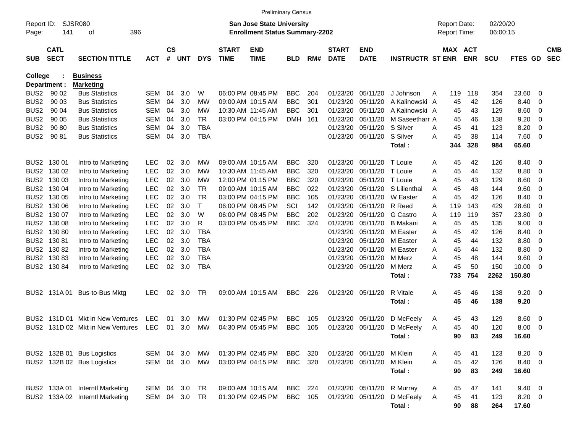|                     |                            |                                  |            |               |       |            |                             | <b>Preliminary Census</b>                                                 |                |     |                             |                           |                         |   |                                            |            |                      |                |                          |                          |
|---------------------|----------------------------|----------------------------------|------------|---------------|-------|------------|-----------------------------|---------------------------------------------------------------------------|----------------|-----|-----------------------------|---------------------------|-------------------------|---|--------------------------------------------|------------|----------------------|----------------|--------------------------|--------------------------|
| Report ID:<br>Page: | 141                        | SJSR080<br>396<br>οf             |            |               |       |            |                             | <b>San Jose State University</b><br><b>Enrollment Status Summary-2202</b> |                |     |                             |                           |                         |   | <b>Report Date:</b><br><b>Report Time:</b> |            | 02/20/20<br>06:00:15 |                |                          |                          |
| <b>SUB</b>          | <b>CATL</b><br><b>SECT</b> | <b>SECTION TITTLE</b>            | <b>ACT</b> | $\mathsf{cs}$ | # UNT | <b>DYS</b> | <b>START</b><br><b>TIME</b> | <b>END</b><br><b>TIME</b>                                                 | <b>BLD</b>     | RM# | <b>START</b><br><b>DATE</b> | <b>END</b><br><b>DATE</b> | <b>INSTRUCTR ST ENR</b> |   | MAX ACT                                    | <b>ENR</b> | <b>SCU</b>           | FTES GD        |                          | <b>CMB</b><br><b>SEC</b> |
| <b>College</b>      |                            | <b>Business</b>                  |            |               |       |            |                             |                                                                           |                |     |                             |                           |                         |   |                                            |            |                      |                |                          |                          |
|                     | Department :               | <b>Marketing</b>                 |            |               |       |            |                             |                                                                           |                |     |                             |                           |                         |   |                                            |            |                      |                |                          |                          |
| BUS <sub>2</sub>    | 90 02                      | <b>Bus Statistics</b>            | SEM        | 04            | 3.0   | W          |                             | 06:00 PM 08:45 PM                                                         | <b>BBC</b>     | 204 | 01/23/20                    | 05/11/20                  | J Johnson               | A | 119                                        | 118        | 354                  | 23.60          | 0                        |                          |
| BUS <sub>2</sub>    | 90 03                      | <b>Bus Statistics</b>            | SEM        | 04            | 3.0   | МW         |                             | 09:00 AM 10:15 AM                                                         | <b>BBC</b>     | 301 | 01/23/20                    | 05/11/20                  | A Kalinowski A          |   | 45                                         | 42         | 126                  | 8.40           | 0                        |                          |
| BUS <sub>2</sub>    | 90 04                      | <b>Bus Statistics</b>            | SEM        | 04            | 3.0   | МW         |                             | 10:30 AM 11:45 AM                                                         | <b>BBC</b>     | 301 | 01/23/20                    | 05/11/20                  | A Kalinowski A          |   | 45                                         | 43         | 129                  | 8.60           | 0                        |                          |
| BUS <sub>2</sub>    | 90 05                      | <b>Bus Statistics</b>            | SEM        | 04            | 3.0   | TR         |                             | 03:00 PM 04:15 PM                                                         | <b>DMH</b>     | 161 | 01/23/20                    | 05/11/20                  | M Saseetharr A          |   | 45                                         | 46         | 138                  | 9.20           | 0                        |                          |
| BUS <sub>2</sub>    | 90 80                      | <b>Bus Statistics</b>            | SEM        | 04            | 3.0   | TBA        |                             |                                                                           |                |     | 01/23/20                    | 05/11/20                  | S Silver                | A | 45                                         | 41         | 123                  | 8.20           | 0                        |                          |
| BUS <sub>2</sub>    | 90 81                      | <b>Bus Statistics</b>            | SEM        | 04            | 3.0   | TBA        |                             |                                                                           |                |     | 01/23/20                    | 05/11/20                  | S Silver<br>Total:      | A | 45<br>344                                  | 38<br>328  | 114<br>984           | 7.60<br>65.60  | - 0                      |                          |
|                     | BUS2 130 01                | Intro to Marketing               | <b>LEC</b> | 02            | 3.0   | МW         |                             | 09:00 AM 10:15 AM                                                         | <b>BBC</b>     | 320 | 01/23/20                    | 05/11/20                  | T Louie                 | A | 45                                         | 42         | 126                  | 8.40           | $\overline{0}$           |                          |
|                     | BUS2 130 02                | Intro to Marketing               | <b>LEC</b> | 02            | 3.0   | МW         |                             | 10:30 AM 11:45 AM                                                         | <b>BBC</b>     | 320 | 01/23/20                    | 05/11/20                  | T Louie                 | A | 45                                         | 44         | 132                  | 8.80           | $\overline{0}$           |                          |
|                     | BUS2 130 03                | Intro to Marketing               | <b>LEC</b> | 02            | 3.0   | МW         |                             | 12:00 PM 01:15 PM                                                         | <b>BBC</b>     | 320 | 01/23/20                    | 05/11/20                  | T Louie                 | A | 45                                         | 43         | 129                  | 8.60           | 0                        |                          |
|                     | BUS2 130 04                | Intro to Marketing               | <b>LEC</b> | 02            | 3.0   | TR.        |                             | 09:00 AM 10:15 AM                                                         | <b>BBC</b>     | 022 | 01/23/20                    | 05/11/20                  | S Lilienthal            | A | 45                                         | 48         | 144                  | 9.60           | 0                        |                          |
|                     | BUS2 130 05                | Intro to Marketing               | <b>LEC</b> | 02            | 3.0   | TR         |                             | 03:00 PM 04:15 PM                                                         | <b>BBC</b>     | 105 | 01/23/20                    | 05/11/20                  | W Easter                | A | 45                                         | 42         | 126                  | 8.40           | 0                        |                          |
|                     | BUS2 130 06                | Intro to Marketing               | <b>LEC</b> | 02            | 3.0   | Т          |                             | 06:00 PM 08:45 PM                                                         | SCI            | 142 | 01/23/20                    | 05/11/20                  | R Reed                  | A | 119                                        | 143        | 429                  | 28.60          | 0                        |                          |
|                     | BUS2 130 07                | Intro to Marketing               | <b>LEC</b> | 02            | 3.0   | W          |                             | 06:00 PM 08:45 PM                                                         | <b>BBC</b>     | 202 | 01/23/20                    | 05/11/20                  | <b>G</b> Castro         | A | 119                                        | 119        | 357                  | 23.80          | 0                        |                          |
|                     | BUS2 130 08                | Intro to Marketing               | <b>LEC</b> | 02            | 3.0   | R          |                             | 03:00 PM 05:45 PM                                                         | <b>BBC</b>     | 324 | 01/23/20                    | 05/11/20                  | <b>B</b> Makani         | A | 45                                         | 45         | 135                  | 9.00           | 0                        |                          |
|                     | BUS2 130 80                | Intro to Marketing               | <b>LEC</b> | 02            | 3.0   | TBA        |                             |                                                                           |                |     | 01/23/20                    | 05/11/20                  | M Easter                | A | 45                                         | 42         | 126                  | 8.40           | 0                        |                          |
|                     | BUS2 130 81                | Intro to Marketing               | <b>LEC</b> | 02            | 3.0   | <b>TBA</b> |                             |                                                                           |                |     | 01/23/20                    | 05/11/20                  | M Easter                | A | 45                                         | 44         | 132                  | 8.80           | 0                        |                          |
|                     | BUS2 130 82                | Intro to Marketing               | <b>LEC</b> | 02            | 3.0   | <b>TBA</b> |                             |                                                                           |                |     | 01/23/20                    | 05/11/20                  | M Easter                | A | 45                                         | 44         | 132                  | 8.80           | 0                        |                          |
|                     | BUS2 130 83                | Intro to Marketing               | <b>LEC</b> | 02            | 3.0   | <b>TBA</b> |                             |                                                                           |                |     | 01/23/20                    | 05/11/20                  | M Merz                  | A | 45                                         | 48         | 144                  | 9.60           | 0                        |                          |
|                     | BUS2 130 84                | Intro to Marketing               | LEC        | 02            | 3.0   | TBA        |                             |                                                                           |                |     | 01/23/20                    | 05/11/20                  | M Merz                  | A | 45                                         | 50         | 150                  | 10.00          | $\overline{0}$           |                          |
|                     |                            |                                  |            |               |       |            |                             |                                                                           |                |     |                             |                           | Total:                  |   | 733                                        | 754        | 2262                 | 150.80         |                          |                          |
|                     | BUS2 131A01                | Bus-to-Bus Mktg                  | <b>LEC</b> | 02            | 3.0   | TR         |                             | 09:00 AM 10:15 AM                                                         | <b>BBC</b>     | 226 | 01/23/20                    | 05/11/20                  | R Vitale                | A | 45                                         | 46         | 138                  | 9.20           | $\overline{\phantom{0}}$ |                          |
|                     |                            |                                  |            |               |       |            |                             |                                                                           |                |     |                             |                           | Total:                  |   | 45                                         | 46         | 138                  | 9.20           |                          |                          |
| BUS2                |                            | 131D 01 Mkt in New Ventures      | LEC        | 01            | 3.0   | МW         |                             | 01:30 PM 02:45 PM                                                         | <b>BBC</b>     | 105 | 01/23/20                    | 05/11/20                  | D McFeely               | A | 45                                         | 43         | 129                  | 8.60           | - 0                      |                          |
|                     |                            | BUS2 131D 02 Mkt in New Ventures | <b>LEC</b> | 01            | 3.0   | MW         |                             | 04:30 PM 05:45 PM                                                         | <b>BBC</b>     | 105 |                             | 01/23/20 05/11/20         | D McFeely               | A | 45                                         | 40         | 120                  | 8.00           | $\overline{\mathbf{0}}$  |                          |
|                     |                            |                                  |            |               |       |            |                             |                                                                           |                |     |                             |                           | Total:                  |   | 90                                         | 83         | 249                  | 16.60          |                          |                          |
|                     |                            | BUS2 132B 01 Bus Logistics       | SEM 04 3.0 |               |       | MW         |                             | 01:30 PM 02:45 PM                                                         | BBC            | 320 |                             | 01/23/20 05/11/20         | M Klein                 | A | 45                                         | 41         | 123                  | 8.20 0         |                          |                          |
|                     |                            | BUS2 132B 02 Bus Logistics       | SEM 04 3.0 |               |       | MW         |                             | 03:00 PM 04:15 PM                                                         | BBC            | 320 | 01/23/20 05/11/20           |                           | M Klein                 | A | 45                                         | 42         | 126                  | 8.40 0         |                          |                          |
|                     |                            |                                  |            |               |       |            |                             |                                                                           |                |     |                             |                           | Total:                  |   | 90                                         | 83         | 249                  | 16.60          |                          |                          |
|                     |                            | BUS2 133A 01 Interntl Marketing  | SEM 04 3.0 |               |       | TR         |                             | 09:00 AM 10:15 AM                                                         | BBC 224        |     |                             | 01/23/20 05/11/20         | R Murray                | A | 45                                         | 47         | 141                  | $9.40 \quad 0$ |                          |                          |
|                     |                            | BUS2 133A 02 Interntl Marketing  | SEM 04 3.0 |               |       | TR.        |                             | 01:30 PM 02:45 PM                                                         | <b>BBC</b> 105 |     |                             | 01/23/20 05/11/20         | D McFeely               | A | 45                                         | 41         | 123                  | $8.20 \ 0$     |                          |                          |
|                     |                            |                                  |            |               |       |            |                             |                                                                           |                |     |                             |                           | Total:                  |   | 90                                         | 88         | 264                  | 17.60          |                          |                          |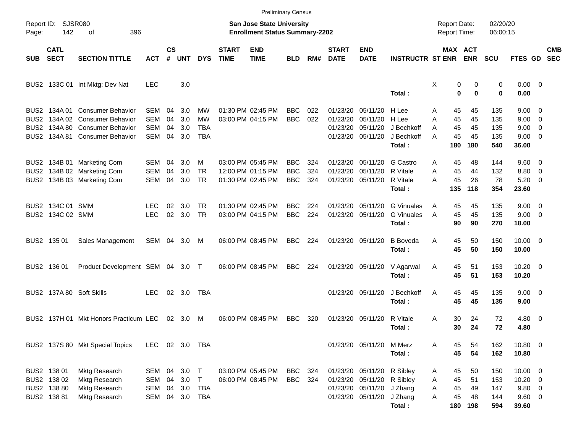|                                              |                                                          |                                                                                                                     |                                 |                      |                          |                                  |                             | <b>Preliminary Census</b>                                                 |                                        |                   |                                  |                                                                                                            |                                                      |                                                 |                                 |                                 |                                                           |                                                      |                          |
|----------------------------------------------|----------------------------------------------------------|---------------------------------------------------------------------------------------------------------------------|---------------------------------|----------------------|--------------------------|----------------------------------|-----------------------------|---------------------------------------------------------------------------|----------------------------------------|-------------------|----------------------------------|------------------------------------------------------------------------------------------------------------|------------------------------------------------------|-------------------------------------------------|---------------------------------|---------------------------------|-----------------------------------------------------------|------------------------------------------------------|--------------------------|
| Page:                                        | Report ID: SJSR080<br>142<br>396<br>οf                   |                                                                                                                     |                                 |                      |                          |                                  |                             | <b>San Jose State University</b><br><b>Enrollment Status Summary-2202</b> |                                        |                   |                                  |                                                                                                            |                                                      | <b>Report Date:</b><br>Report Time:             |                                 | 02/20/20<br>06:00:15            |                                                           |                                                      |                          |
| <b>SUB</b>                                   | <b>CATL</b><br><b>SECT</b>                               | <b>SECTION TITTLE</b>                                                                                               | <b>ACT</b>                      | $\mathsf{cs}$<br>#   | <b>UNT</b>               | <b>DYS</b>                       | <b>START</b><br><b>TIME</b> | <b>END</b><br><b>TIME</b>                                                 | BLD                                    | RM#               | <b>START</b><br><b>DATE</b>      | <b>END</b><br><b>DATE</b>                                                                                  | <b>INSTRUCTR ST ENR</b>                              | MAX ACT                                         | ENR                             | <b>SCU</b>                      | FTES GD                                                   |                                                      | <b>CMB</b><br><b>SEC</b> |
|                                              |                                                          | BUS2 133C 01 Int Mktg: Dev Nat                                                                                      | <b>LEC</b>                      |                      | 3.0                      |                                  |                             |                                                                           |                                        |                   |                                  |                                                                                                            | Total:                                               | Χ<br>0<br>$\bf{0}$                              | 0<br>$\bf{0}$                   | 0<br>0                          | $0.00 \t 0$<br>0.00                                       |                                                      |                          |
| BUS2<br>BUS <sub>2</sub><br>BUS <sub>2</sub> | 134A 01<br>134A 80                                       | <b>Consumer Behavior</b><br>134A 02 Consumer Behavior<br><b>Consumer Behavior</b><br>BUS2 134A 81 Consumer Behavior | SEM<br>SEM<br>SEM<br><b>SEM</b> | 04<br>04<br>04<br>04 | 3.0<br>3.0<br>3.0<br>3.0 | МW<br>МW<br>TBA<br><b>TBA</b>    |                             | 01:30 PM 02:45 PM<br>03:00 PM 04:15 PM                                    | <b>BBC</b><br><b>BBC</b>               | 022<br>022        | 01/23/20<br>01/23/20<br>01/23/20 | 05/11/20<br>05/11/20<br>05/11/20<br>01/23/20 05/11/20                                                      | H Lee<br>H Lee<br>J Bechkoff<br>J Bechkoff<br>Total: | 45<br>A<br>45<br>A<br>45<br>A<br>45<br>Α<br>180 | 45<br>45<br>45<br>45<br>180     | 135<br>135<br>135<br>135<br>540 | $9.00 \quad 0$<br>9.00<br>9.00<br>$9.00 \t 0$<br>36.00    | $\overline{\phantom{0}}$<br>$\overline{\phantom{0}}$ |                          |
|                                              |                                                          | BUS2 134B 01 Marketing Com<br>BUS2 134B 02 Marketing Com<br>BUS2 134B 03 Marketing Com                              | SEM<br>SEM<br><b>SEM</b>        | 04<br>04<br>04       | 3.0<br>3.0<br>3.0        | м<br><b>TR</b><br><b>TR</b>      |                             | 03:00 PM 05:45 PM<br>12:00 PM 01:15 PM<br>01:30 PM 02:45 PM               | <b>BBC</b><br><b>BBC</b><br><b>BBC</b> | 324<br>324<br>324 | 01/23/20<br>01/23/20             | 05/11/20<br>05/11/20<br>01/23/20 05/11/20                                                                  | G Castro<br>R Vitale<br>R Vitale<br>Total:           | 45<br>Α<br>45<br>Α<br>45<br>Α<br>135            | 48<br>44<br>26<br>118           | 144<br>132<br>78<br>354         | $9.60 \quad 0$<br>8.80<br>5.20<br>23.60                   | $\overline{\phantom{0}}$<br>$\overline{\phantom{0}}$ |                          |
|                                              | BUS2 134C 01 SMM<br>BUS2 134C 02 SMM                     |                                                                                                                     | <b>LEC</b><br><b>LEC</b>        | 02<br>02             | 3.0<br>3.0               | <b>TR</b><br><b>TR</b>           |                             | 01:30 PM 02:45 PM<br>03:00 PM 04:15 PM                                    | BBC<br><b>BBC</b>                      | 224<br>224        | 01/23/20                         | 05/11/20<br>01/23/20 05/11/20                                                                              | <b>G</b> Vinuales<br><b>G</b> Vinuales<br>Total:     | 45<br>A<br>45<br>A<br>90                        | 45<br>45<br>90                  | 135<br>135<br>270               | $9.00 \quad 0$<br>$9.00 \t 0$<br>18.00                    |                                                      |                          |
|                                              | BUS2 135 01                                              | Sales Management                                                                                                    | SEM 04 3.0                      |                      |                          | M                                |                             | 06:00 PM 08:45 PM                                                         | <b>BBC</b>                             | 224               |                                  | 01/23/20 05/11/20                                                                                          | <b>B</b> Boveda<br>Total:                            | Α<br>45<br>45                                   | 50<br>50                        | 150<br>150                      | $10.00 \t 0$<br>10.00                                     |                                                      |                          |
|                                              | BUS2 136 01                                              | Product Development SEM 04 3.0 T                                                                                    |                                 |                      |                          |                                  |                             | 06:00 PM 08:45 PM                                                         | <b>BBC</b>                             | 224               |                                  | 01/23/20 05/11/20                                                                                          | V Agarwal<br>Total:                                  | 45<br>A<br>45                                   | 51<br>51                        | 153<br>153                      | $10.20 \t 0$<br>10.20                                     |                                                      |                          |
|                                              |                                                          | BUS2 137A 80 Soft Skills                                                                                            | <b>LEC</b>                      |                      | 02 3.0                   | TBA                              |                             |                                                                           |                                        |                   |                                  | 01/23/20 05/11/20                                                                                          | J Bechkoff<br>Total:                                 | 45<br>A<br>45                                   | 45<br>45                        | 135<br>135                      | $9.00 \t 0$<br>9.00                                       |                                                      |                          |
|                                              |                                                          | BUS2 137H 01 Mkt Honors Practicum LEC                                                                               |                                 |                      | $02 \quad 3.0$           | M                                |                             | 06:00 PM 08:45 PM                                                         | <b>BBC</b>                             | 320               |                                  | 01/23/20 05/11/20                                                                                          | R Vitale<br>Total:                                   | 30<br>A<br>30                                   | 24<br>24                        | 72<br>72                        | 4.80 0<br>4.80                                            |                                                      |                          |
|                                              |                                                          | BUS2 137S 80 Mkt Special Topics                                                                                     | LEC 02 3.0 TBA                  |                      |                          |                                  |                             |                                                                           |                                        |                   |                                  | 01/23/20 05/11/20 M Merz                                                                                   | Total:                                               | 45<br>Α<br>45                                   | 54<br>54                        | 162<br>162                      | 10.80 0<br>10.80                                          |                                                      |                          |
|                                              | BUS2 138 01<br>BUS2 138 02<br>BUS2 138 80<br>BUS2 138 81 | Mktg Research<br>Mktg Research<br>Mktg Research<br>Mktg Research                                                    | SEM 04<br>SEM<br>SEM<br>SEM     | 04<br>04<br>04       | 3.0<br>3.0<br>3.0<br>3.0 | $\top$<br>T<br><b>TBA</b><br>TBA |                             | 03:00 PM 05:45 PM<br>06:00 PM 08:45 PM                                    | BBC<br>BBC                             | - 324<br>324      |                                  | 01/23/20 05/11/20 R Sibley<br>01/23/20 05/11/20 R Sibley<br>01/23/20 05/11/20 J Zhang<br>01/23/20 05/11/20 | J Zhang<br>Total:                                    | 45<br>A<br>45<br>Α<br>45<br>Α<br>45<br>A        | 50<br>51<br>49<br>48<br>180 198 | 150<br>153<br>147<br>144<br>594 | $10.00 \t 0$<br>$10.20 \t 0$<br>9.80 0<br>9.60 0<br>39.60 |                                                      |                          |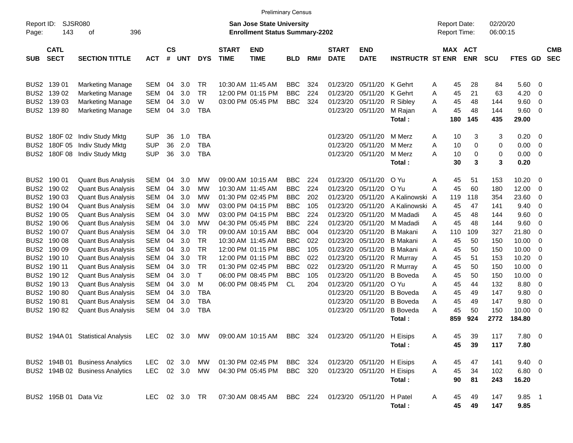|                  |                                                  |                                                    |                          |                    |            |                |                             |                                                                           | <b>Preliminary Census</b> |            |                             |                           |                            |                                            |                       |                      |                 |            |                          |
|------------------|--------------------------------------------------|----------------------------------------------------|--------------------------|--------------------|------------|----------------|-----------------------------|---------------------------------------------------------------------------|---------------------------|------------|-----------------------------|---------------------------|----------------------------|--------------------------------------------|-----------------------|----------------------|-----------------|------------|--------------------------|
| Page:            | <b>SJSR080</b><br>Report ID:<br>143<br>396<br>οf |                                                    |                          |                    |            |                |                             | <b>San Jose State University</b><br><b>Enrollment Status Summary-2202</b> |                           |            |                             |                           |                            | <b>Report Date:</b><br><b>Report Time:</b> |                       | 02/20/20<br>06:00:15 |                 |            |                          |
| <b>SUB</b>       | <b>CATL</b><br><b>SECT</b>                       | <b>SECTION TITTLE</b>                              | <b>ACT</b>               | $\mathsf{cs}$<br># | <b>UNT</b> | <b>DYS</b>     | <b>START</b><br><b>TIME</b> | <b>END</b><br><b>TIME</b>                                                 | <b>BLD</b>                | RM#        | <b>START</b><br><b>DATE</b> | <b>END</b><br><b>DATE</b> | <b>INSTRUCTR ST ENR</b>    |                                            | MAX ACT<br><b>ENR</b> | <b>SCU</b>           | FTES GD         |            | <b>CMB</b><br><b>SEC</b> |
|                  | BUS2 139 01                                      | <b>Marketing Manage</b>                            | SEM                      | 04                 | 3.0        | <b>TR</b>      |                             | 10:30 AM 11:45 AM                                                         | <b>BBC</b>                | 324        | 01/23/20                    | 05/11/20                  | K Gehrt                    | 45<br>Α                                    | 28                    | 84                   | 5.60 0          |            |                          |
|                  | BUS2 139 02<br>BUS2 139 03                       | <b>Marketing Manage</b><br><b>Marketing Manage</b> | <b>SEM</b><br><b>SEM</b> | 04<br>04           | 3.0<br>3.0 | <b>TR</b><br>W |                             | 12:00 PM 01:15 PM<br>03:00 PM 05:45 PM                                    | <b>BBC</b><br><b>BBC</b>  | 224<br>324 | 01/23/20<br>01/23/20        | 05/11/20<br>05/11/20      | K Gehrt<br>R Sibley        | 45<br>Α<br>45<br>A                         | 21<br>48              | 63<br>144            | 4.20<br>9.60    | - 0<br>- 0 |                          |
|                  | BUS2 139 80                                      | <b>Marketing Manage</b>                            | SEM                      | 04                 | 3.0        | <b>TBA</b>     |                             |                                                                           |                           |            | 01/23/20                    | 05/11/20                  | M Rajan                    | 45<br>Α                                    | 48                    | 144                  | 9.60            | - 0        |                          |
|                  |                                                  |                                                    |                          |                    |            |                |                             |                                                                           |                           |            |                             |                           | Total:                     | 180                                        | 145                   | 435                  | 29.00           |            |                          |
| BUS <sub>2</sub> | 180F 02                                          | Indiv Study Mktg                                   | <b>SUP</b>               | 36                 | 1.0        | <b>TBA</b>     |                             |                                                                           |                           |            | 01/23/20                    | 05/11/20                  | M Merz                     | 10<br>Α                                    | 3                     | 3                    | 0.20            | - 0        |                          |
| BUS <sub>2</sub> | 180F 05                                          | Indiv Study Mktg                                   | <b>SUP</b>               | 36                 | 2.0        | <b>TBA</b>     |                             |                                                                           |                           |            | 01/23/20                    | 05/11/20                  | M Merz                     | 10<br>Α                                    | 0                     | 0                    | 0.00            | - 0        |                          |
| BUS <sub>2</sub> | 180F 08                                          | Indiv Study Mktg                                   | <b>SUP</b>               | 36                 | 3.0        | <b>TBA</b>     |                             |                                                                           |                           |            | 01/23/20                    | 05/11/20                  | M Merz                     | 10<br>Α                                    | 0                     | 0                    | 0.00            | - 0        |                          |
|                  |                                                  |                                                    |                          |                    |            |                |                             |                                                                           |                           |            |                             |                           | Total:                     | 30                                         | 3                     | 3                    | 0.20            |            |                          |
|                  | BUS2 190 01                                      | <b>Quant Bus Analysis</b>                          | SEM                      | 04                 | 3.0        | МW             |                             | 09:00 AM 10:15 AM                                                         | <b>BBC</b>                | 224        | 01/23/20                    | 05/11/20                  | O Yu                       | Α<br>45                                    | 51                    | 153                  | 10.20           | - 0        |                          |
|                  | BUS2 190 02                                      | <b>Quant Bus Analysis</b>                          | <b>SEM</b>               | 04                 | 3.0        | МW             |                             | 10:30 AM 11:45 AM                                                         | <b>BBC</b>                | 224        | 01/23/20                    | 05/11/20                  | O Yu                       | A<br>45                                    | 60                    | 180                  | 12.00           | - 0        |                          |
|                  | BUS2 190 03                                      | <b>Quant Bus Analysis</b>                          | <b>SEM</b>               | 04                 | 3.0        | МW             |                             | 01:30 PM 02:45 PM                                                         | <b>BBC</b>                | 202        | 01/23/20                    | 05/11/20                  | A Kalinowski               | 119<br>A                                   | 118                   | 354                  | 23.60           | 0          |                          |
|                  | BUS2 190 04                                      | <b>Quant Bus Analysis</b>                          | SEM                      | 04                 | 3.0        | МW             |                             | 03:00 PM 04:15 PM                                                         | <b>BBC</b>                | 105        | 01/23/20                    | 05/11/20                  | A Kalinowski A             | 45                                         | 47                    | 141                  | 9.40            | 0          |                          |
|                  | BUS2 190 05                                      | <b>Quant Bus Analysis</b>                          | SEM                      | 04                 | 3.0        | МW             |                             | 03:00 PM 04:15 PM                                                         | <b>BBC</b>                | 224        | 01/23/20                    | 05/11/20                  | M Madadi                   | 45<br>A                                    | 48                    | 144                  | 9.60            | 0          |                          |
|                  | BUS2 190 06                                      | <b>Quant Bus Analysis</b>                          | SEM                      | 04                 | 3.0        | МW             |                             | 04:30 PM 05:45 PM                                                         | <b>BBC</b>                | 224        | 01/23/20                    | 05/11/20                  | M Madadi                   | 45<br>A                                    | 48                    | 144                  | 9.60            | - 0        |                          |
|                  | BUS2 190 07                                      | <b>Quant Bus Analysis</b>                          | <b>SEM</b>               | 04                 | 3.0        | <b>TR</b>      |                             | 09:00 AM 10:15 AM                                                         | <b>BBC</b>                | 004        | 01/23/20                    | 05/11/20                  | <b>B</b> Makani            | A<br>110                                   | 109                   | 327                  | 21.80           | 0          |                          |
|                  | BUS2 190 08                                      | <b>Quant Bus Analysis</b>                          | <b>SEM</b>               | 04                 | 3.0        | <b>TR</b>      |                             | 10:30 AM 11:45 AM                                                         | <b>BBC</b>                | 022        | 01/23/20                    | 05/11/20                  | <b>B</b> Makani            | 45<br>Α                                    | 50                    | 150                  | 10.00           | - 0        |                          |
|                  | BUS2 190 09                                      | <b>Quant Bus Analysis</b>                          | SEM                      | 04                 | 3.0        | <b>TR</b>      |                             | 12:00 PM 01:15 PM                                                         | <b>BBC</b>                | 105        | 01/23/20                    | 05/11/20                  | <b>B</b> Makani            | 45<br>A                                    | 50                    | 150                  | 10.00           | - 0        |                          |
|                  | BUS2 190 10                                      | <b>Quant Bus Analysis</b>                          | <b>SEM</b>               | 04                 | 3.0        | <b>TR</b>      |                             | 12:00 PM 01:15 PM                                                         | <b>BBC</b>                | 022        | 01/23/20                    | 05/11/20                  | R Murray                   | 45<br>Α                                    | 51                    | 153                  | 10.20           | 0          |                          |
|                  | BUS2 190 11                                      | <b>Quant Bus Analysis</b>                          | <b>SEM</b>               | 04                 | 3.0        | <b>TR</b>      |                             | 01:30 PM 02:45 PM                                                         | <b>BBC</b>                | 022        | 01/23/20                    | 05/11/20                  | R Murray                   | 45<br>Α                                    | 50                    | 150                  | 10.00           | 0          |                          |
|                  | BUS2 190 12                                      | <b>Quant Bus Analysis</b>                          | SEM                      | 04                 | 3.0        | $\mathsf{T}$   |                             | 06:00 PM 08:45 PM                                                         | <b>BBC</b>                | 105        | 01/23/20                    | 05/11/20                  | <b>B</b> Boveda            | Α<br>45                                    | 50                    | 150                  | 10.00           | - 0        |                          |
|                  | BUS2 190 13                                      | <b>Quant Bus Analysis</b>                          | SEM                      | 04                 | 3.0        | м              |                             | 06:00 PM 08:45 PM                                                         | <b>CL</b>                 | 204        | 01/23/20                    | 05/11/20                  | O Yu                       | A<br>45                                    | 44                    | 132                  | 8.80            | 0          |                          |
|                  | BUS2 190 80                                      | <b>Quant Bus Analysis</b>                          | SEM                      | 04                 | 3.0        | <b>TBA</b>     |                             |                                                                           |                           |            | 01/23/20                    | 05/11/20                  | <b>B</b> Boveda            | 45<br>Α                                    | 49                    | 147                  | 9.80            | 0          |                          |
|                  | BUS2 190 81                                      | <b>Quant Bus Analysis</b>                          | SEM                      | 04                 | 3.0        | <b>TBA</b>     |                             |                                                                           |                           |            | 01/23/20                    | 05/11/20                  | <b>B</b> Boveda            | 45<br>Α<br>A                               | 49                    | 147                  | 9.80            | 0          |                          |
|                  | BUS2 190 82                                      | <b>Quant Bus Analysis</b>                          | SEM                      | 04                 | 3.0        | <b>TBA</b>     |                             |                                                                           |                           |            | 01/23/20                    | 05/11/20                  | <b>B</b> Boveda<br>Total : | 45<br>859                                  | 50<br>924             | 150<br>2772          | 10.00<br>184.80 | - 0        |                          |
|                  |                                                  | BUS2 194A 01 Statistical Analysis                  |                          |                    |            |                |                             | LEC 02 3.0 MW 09:00 AM 10:15 AM BBC 324 01/23/20 05/11/20 H Eisips        |                           |            |                             |                           |                            | Α<br>45                                    | 39                    | 117                  | $7.80\quad 0$   |            |                          |
|                  |                                                  |                                                    |                          |                    |            |                |                             |                                                                           |                           |            |                             |                           | Total:                     | 45                                         | 39                    | 117                  | 7.80            |            |                          |
|                  |                                                  | BUS2 194B 01 Business Analytics                    | LEC.                     |                    | 02 3.0     | MW             |                             | 01:30 PM 02:45 PM BBC 324                                                 |                           |            |                             | 01/23/20 05/11/20         | H Eisips                   | 45<br>A                                    | 47                    | 141                  | $9.40 \quad 0$  |            |                          |
|                  |                                                  | BUS2 194B 02 Business Analytics                    | LEC 02 3.0 MW            |                    |            |                |                             | 04:30 PM 05:45 PM                                                         | BBC 320                   |            |                             | 01/23/20 05/11/20         | H Eisips                   | 45<br>A                                    | 34                    | 102                  | $6.80$ 0        |            |                          |
|                  |                                                  |                                                    |                          |                    |            |                |                             |                                                                           |                           |            |                             |                           | Total:                     | 90                                         | 81                    | 243                  | 16.20           |            |                          |
|                  | BUS2 195B 01 Data Viz                            |                                                    | LEC 02 3.0 TR            |                    |            |                |                             | 07:30 AM 08:45 AM BBC 224                                                 |                           |            | 01/23/20 05/11/20           |                           | H Patel                    | 45<br>A                                    | 49                    | 147                  | $9.85$ 1        |            |                          |
|                  |                                                  |                                                    |                          |                    |            |                |                             |                                                                           |                           |            |                             |                           | Total:                     | 45                                         | 49                    | 147                  | 9.85            |            |                          |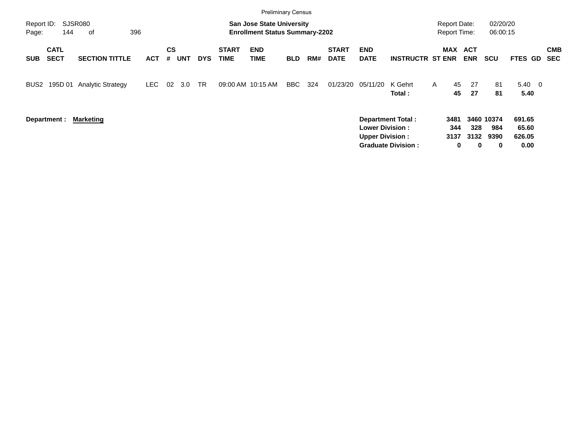|                                          |                |                          |            |                |            |            |                             | <b>Preliminary Census</b>                                                 |            |     |                             |                                                  |                                                       |                                            |                          |                                |                                   |                          |
|------------------------------------------|----------------|--------------------------|------------|----------------|------------|------------|-----------------------------|---------------------------------------------------------------------------|------------|-----|-----------------------------|--------------------------------------------------|-------------------------------------------------------|--------------------------------------------|--------------------------|--------------------------------|-----------------------------------|--------------------------|
| Report ID:<br>Page:                      | SJSR080<br>144 | 396<br>οf                |            |                |            |            |                             | <b>San Jose State University</b><br><b>Enrollment Status Summary-2202</b> |            |     |                             |                                                  |                                                       | <b>Report Date:</b><br><b>Report Time:</b> |                          | 02/20/20<br>06:00:15           |                                   |                          |
| <b>CATL</b><br><b>SECT</b><br><b>SUB</b> |                | <b>SECTION TITTLE</b>    | <b>ACT</b> | <b>CS</b><br># | <b>UNT</b> | <b>DYS</b> | <b>START</b><br><b>TIME</b> | <b>END</b><br><b>TIME</b>                                                 | <b>BLD</b> | RM# | <b>START</b><br><b>DATE</b> | <b>END</b><br><b>DATE</b>                        | <b>INSTRUCTR ST ENR</b>                               | MAX                                        | <b>ACT</b><br><b>ENR</b> | <b>SCU</b>                     | <b>FTES GD</b>                    | <b>CMB</b><br><b>SEC</b> |
| 195D 01<br>BUS <sub>2</sub>              |                | <b>Analytic Strategy</b> | LEC.       | 02             | 3.0        | TR.        | 09:00 AM 10:15 AM           |                                                                           | BBC        | 324 | 01/23/20                    | 05/11/20                                         | K Gehrt<br>Total:                                     | 45<br>$\mathsf{A}$<br>45                   | 27<br>27                 | 81<br>81                       | $5.40 \quad 0$<br>5.40            |                          |
| Department :                             |                | <b>Marketing</b>         |            |                |            |            |                             |                                                                           |            |     |                             | <b>Lower Division:</b><br><b>Upper Division:</b> | <b>Department Total:</b><br><b>Graduate Division:</b> | 3481<br>344<br>3137<br>0                   | 328<br>3132<br>$\bf{0}$  | 3460 10374<br>984<br>9390<br>0 | 691.65<br>65.60<br>626.05<br>0.00 |                          |